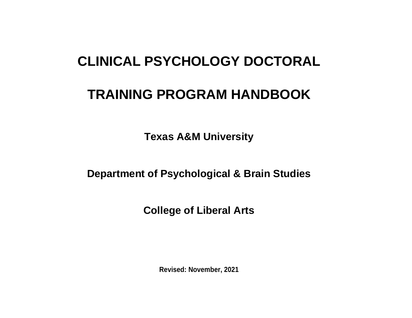# **CLINICAL PSYCHOLOGY DOCTORAL**

# **TRAINING PROGRAM HANDBOOK**

**Texas A&M University** 

**Department of Psychological & Brain Studies**

**College of Liberal Arts**

**Revised: November, 2021**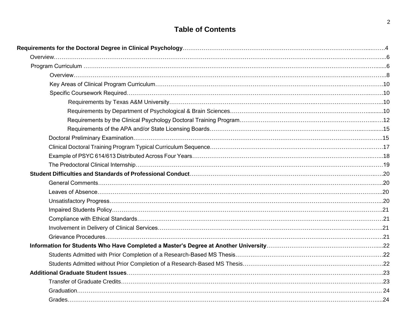# **Table of Contents**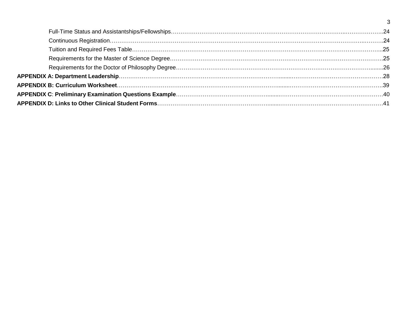3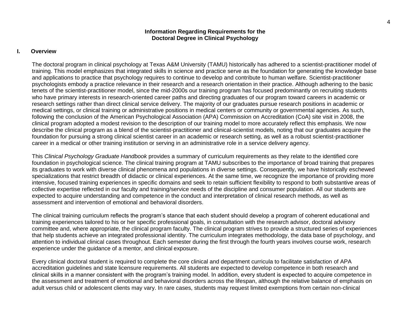## **Information Regarding Requirements for the Doctoral Degree in Clinical Psychology**

#### **I. Overview**

The doctoral program in clinical psychology at Texas A&M University (TAMU) historically has adhered to a scientist-practitioner model of training. This model emphasizes that integrated skills in science and practice serve as the foundation for generating the knowledge base and applications to practice that psychology requires to continue to develop and contribute to human welfare. Scientist-practitioner psychologists embody a practice relevance in their research and a research orientation in their practice. Although adhering to the basic tenets of the scientist-practitioner model, since the mid-2000s our training program has focused predominantly on recruiting students who have primary interests in research-oriented career paths and directing graduates of our program toward careers in academic or research settings rather than direct clinical service delivery. The majority of our graduates pursue research positions in academic or medical settings, or clinical training or administrative positions in medical centers or community or governmental agencies. As such, following the conclusion of the American Psychological Association (APA) Commission on Accreditation (CoA) site visit in 2008, the clinical program adopted a modest revision to the description of our training model to more accurately reflect this emphasis. We now describe the clinical program as a blend of the scientist-practitioner and clinical-scientist models, noting that our graduates acquire the foundation for pursuing a strong clinical scientist career in an academic or research setting, as well as a robust scientist-practitioner career in a medical or other training institution or serving in an administrative role in a service delivery agency.

This *Clinical Psychology Graduate Handbook* provides a summary of curriculum requirements as they relate to the identified core foundation in psychological science. The clinical training program at TAMU subscribes to the importance of broad training that prepares its graduates to work with diverse clinical phenomena and populations in diverse settings. Consequently, we have historically eschewed specializations that restrict breadth of didactic or clinical experiences. At the same time, we recognize the importance of providing more intensive, focused training experiences in specific domains and seek to retain sufficient flexibility to respond to both substantive areas of collective expertise reflected in our faculty and training/service needs of the discipline and consumer population. All our students are expected to acquire understanding and competence in the conduct and interpretation of clinical research methods, as well as assessment and intervention of emotional and behavioral disorders.

The clinical training curriculum reflects the program's stance that each student should develop a program of coherent educational and training experiences tailored to his or her specific professional goals, in consultation with the research advisor, doctoral advisory committee and, where appropriate, the clinical program faculty. The clinical program strives to provide a structured series of experiences that help students achieve an integrated professional identity. The curriculum integrates methodology, the data base of psychology, and attention to individual clinical cases throughout. Each semester during the first through the fourth years involves course work, research experience under the guidance of a mentor, and clinical exposure.

Every clinical doctoral student is required to complete the core clinical and department curricula to facilitate satisfaction of APA accreditation guidelines and state licensure requirements. All students are expected to develop competence in both research and clinical skills in a manner consistent with the program's training model. In addition, every student is expected to acquire competence in the assessment and treatment of emotional and behavioral disorders across the lifespan, although the relative balance of emphasis on adult versus child or adolescent clients may vary. In rare cases, students may request limited exemptions from certain non-clinical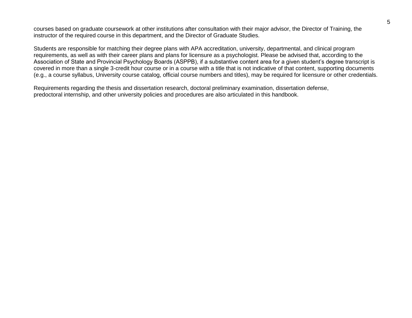courses based on graduate coursework at other institutions after consultation with their major advisor, the Director of Training, the instructor of the required course in this department, and the Director of Graduate Studies.

Students are responsible for matching their degree plans with APA accreditation, university, departmental, and clinical program requirements, as well as with their career plans and plans for licensure as a psychologist. Please be advised that, according to the Association of State and Provincial Psychology Boards (ASPPB), if a substantive content area for a given student's degree transcript is covered in more than a single 3-credit hour course or in a course with a title that is not indicative of that content, supporting documents (e.g., a course syllabus, University course catalog, official course numbers and titles), may be required for licensure or other credentials.

Requirements regarding the thesis and dissertation research, doctoral preliminary examination, dissertation defense, predoctoral internship, and other university policies and procedures are also articulated in this handbook.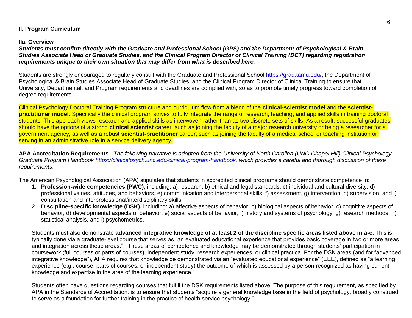# **II. Program Curriculum**

## **IIa. Overview**

*Students must confirm directly with the Graduate and Professional School (GPS) and the Department of Psychological & Brain Studies Associate Head of Graduate Studies, and the Clinical Program Director of Clinical Training (DCT) regarding registration requirements unique to their own situation that may differ from what is described here.*

Students are strongly encouraged to regularly consult with the Graduate and Professional School [https://grad.tamu.edu/,](https://grad.tamu.edu/) the Department of Psychological & Brain Studies Associate Head of Graduate Studies, and the Clinical Program Director of Clinical Training to ensure that University, Departmental, and Program requirements and deadlines are complied with, so as to promote timely progress toward completion of degree requirements.

Clinical Psychology Doctoral Training Program structure and curriculum flow from a blend of the **clinical-scientist model** and the **scientistpractitioner model**. Specifically the clinical program strives to fully integrate the range of research, teaching, and applied skills in training doctoral students. This approach views research and applied skills as interwoven rather than as two discrete sets of skills. As a result, successful graduates should have the options of a strong **clinical scientist** career, such as joining the faculty of a major research university or being a researcher for a government agency, as well as a robust **scientist-practitioner** career, such as joining the faculty of a medical school or teaching institution or serving in an administrative role in a service delivery agency.

**APA Accreditation Requirements**. *The following narrative is adopted from the University of North Carolina (UNC-Chapel Hill) Clinical Psychology Graduate Program Handbook [https://clinicalpsych.unc.edu/clinical-program-handbook,](https://clinicalpsych.unc.edu/clinical-program-handbook/) which provides a careful and thorough discussion of these requirements*.

The American Psychological Association (APA) stipulates that students in accredited clinical programs should demonstrate competence in:

- 1. **Profession-wide competencies (PWC),** including: a) research, b) ethical and legal standards, c) individual and cultural diversity, d) professional values, attitudes, and behaviors, e) communication and interpersonal skills, f) assessment, g) intervention, h) supervision, and i) consultation and interprofessional/interdisciplinary skills.
- 2. **Discipline-specific knowledge (DSK),** including: a) affective aspects of behavior, b) biological aspects of behavior, c) cognitive aspects of behavior, d) developmental aspects of behavior, e) social aspects of behavior, f) history and systems of psychology, g) research methods, h) statistical analysis, and i) psychometrics.

Students must also demonstrate **advanced integrative knowledge of at least 2 of the discipline specific areas listed above in a-e.** This is typically done via a graduate-level course that serves as "an evaluated educational experience that provides basic coverage in two or more areas and integration across those areas." These areas of competence and knowledge may be demonstrated through students' participation in coursework (full courses or parts of courses), independent study, research experiences, or clinical practica. For the DSK areas (and for "advanced integrative knowledge"), APA requires that knowledge be demonstrated via an "evaluated educational experience" (EEE), defined as "a learning experience (e.g., course, parts of courses, or independent study) the outcome of which is assessed by a person recognized as having current knowledge and expertise in the area of the learning experience."

Students often have questions regarding courses that fulfill the DSK requirements listed above. The purpose of this requirement, as specified by APA in the Standards of Accreditation, is to ensure that students "acquire a general knowledge base in the field of psychology, broadly construed, to serve as a foundation for further training in the practice of health service psychology."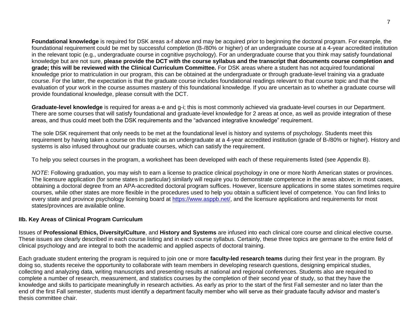**Foundational knowledge** is required for DSK areas a-f above and may be acquired prior to beginning the doctoral program. For example, the foundational requirement could be met by successful completion (B-/80% or higher) of an undergraduate course at a 4-year accredited institution in the relevant topic (e.g., undergraduate course in cognitive psychology). For an undergraduate course that you think may satisfy foundational knowledge but are not sure, **please provide the DCT with the course syllabus and the transcript that documents course completion and grade; this will be reviewed with the Clinical Curriculum Committee.** For DSK areas where a student has not acquired foundational knowledge prior to matriculation in our program, this can be obtained at the undergraduate or through graduate-level training via a graduate course. For the latter, the expectation is that the graduate course includes foundational readings relevant to that course topic and that the evaluation of your work in the course assumes mastery of this foundational knowledge. If you are uncertain as to whether a graduate course will provide foundational knowledge, please consult with the DCT.

**Graduate-level knowledge** is required for areas a-e and g-i; this is most commonly achieved via graduate-level courses in our Department. There are some courses that will satisfy foundational and graduate-level knowledge for 2 areas at once, as well as provide integration of these areas, and thus could meet both the DSK requirements and the "advanced integrative knowledge" requirement.

The sole DSK requirement that only needs to be met at the foundational level is history and systems of psychology. Students meet this requirement by having taken a course on this topic as an undergraduate at a 4-year accredited institution (grade of B-/80% or higher). History and systems is also infused throughout our graduate courses, which can satisfy the requirement.

To help you select courses in the program, a worksheet has been developed with each of these requirements listed (see Appendix B).

*NOTE*: Following graduation, you may wish to earn a license to practice clinical psychology in one or more North American states or provinces. The licensure application (for some states in particular) similarly will require you to demonstrate competence in the areas above; in most cases, obtaining a doctoral degree from an APA-accredited doctoral program suffices. However, licensure applications in some states sometimes require courses, while other states are more flexible in the procedures used to help you obtain a sufficient level of competence. You can find links to every state and province psychology licensing board at [https://www.asppb.net/,](https://www.asppb.net/) and the licensure applications and requirements for most states/provinces are available online.

# **IIb. Key Areas of Clinical Program Curriculum**

Issues of **Professional Ethics, Diversity/Culture**, and **History and Systems** are infused into each clinical core course and clinical elective course. These issues are clearly described in each course listing and in each course syllabus. Certainly, these three topics are germane to the entire field of clinical psychology and are integral to both the academic and applied aspects of doctoral training.

Each graduate student entering the program is required to join one or more **faculty-led research teams** during their first year in the program. By doing so, students receive the opportunity to collaborate with team members in developing research questions, designing empirical studies, collecting and analyzing data, writing manuscripts and presenting results at national and regional conferences. Students also are required to complete a number of research, measurement, and statistics courses by the completion of their second year of study, so that they have the knowledge and skills to participate meaningfully in research activities. As early as prior to the start of the first Fall semester and no later than the end of the first Fall semester, students must identify a department faculty member who will serve as their graduate faculty advisor and master's thesis committee chair.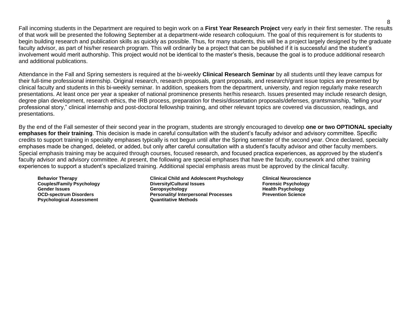Fall incoming students in the Department are required to begin work on a **First Year Research Project** very early in their first semester. The results of that work will be presented the following September at a department-wide research colloquium. The goal of this requirement is for students to begin building research and publication skills as quickly as possible. Thus, for many students, this will be a project largely designed by the graduate faculty advisor, as part of his/her research program. This will ordinarily be a project that can be published if it is successful and the student's involvement would merit authorship. This project would not be identical to the master's thesis, because the goal is to produce additional research and additional publications.

Attendance in the Fall and Spring semesters is required at the bi-weekly **Clinical Research Seminar** by all students until they leave campus for their full-time professional internship. Original research, research proposals, grant proposals, and research/grant issue topics are presented by clinical faculty and students in this bi-weekly seminar. In addition, speakers from the department, university, and region regularly make research presentations. At least once per year a speaker of national prominence presents her/his research. Issues presented may include research design, degree plan development, research ethics, the IRB process, preparation for thesis/dissertation proposals/defenses, grantsmanship, "telling your professional story," clinical internship and post-doctoral fellowship training, and other relevant topics are covered via discussion, readings, and presentations.

By the end of the Fall semester of their second year in the program, students are strongly encouraged to develop **one or two OPTIONAL specialty emphases for their training**. This decision is made in careful consultation with the student's faculty advisor and advisory committee. Specific credits to support training in specialty emphases typically is not begun until after the Spring semester of the second year. Once declared, specialty emphases made be changed, deleted, or added, but only after careful consultation with a student's faculty advisor and other faculty members. Special emphasis training may be acquired through courses, focused research, and focused practica experiences, as approved by the student's faculty advisor and advisory committee. At present, the following are special emphases that have the faculty, coursework and other training experiences to support a student's specialized training. Additional special emphasis areas must be approved by the clinical faculty.

**Psychological Assessment Quantitative Methods**

**Behavior Therapy Clinical Child and Adolescent Psychology Clinical Neuroscience Couples/Family Psychology Diversity/Cultural Issues Forensic Psychology Gender Issues Geropsychology Health Psychology Personality/ Interpersonal Processes**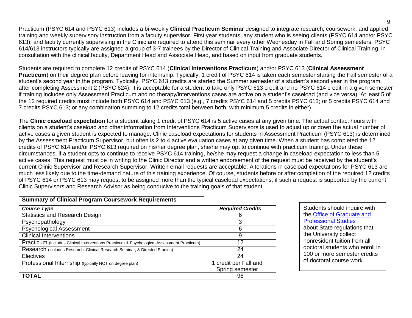Practicum (PSYC 614 and PSYC 613) includes a bi-weekly **Clinical Practicum Seminar** designed to integrate research, coursework, and applied training and weekly supervisory instruction from a faculty supervisor. First year students, any student who is seeing clients (PSYC 614 and/or PSYC 613), and faculty currently supervising in the Clinic are required to attend this seminar every other Wednesday in Fall and Spring semesters. PSYC 614/613 instructors typically are assigned a group of 3-7 trainees by the Director of Clinical Training and Associate Director of Clinical Training, in consultation with the clinical faculty, Department Head and Associate Head, and based on input from graduate students.

Students are required to complete 12 credits of PSYC 614 (**Clinical Interventions Practicum**) and/or PSYC 613 (**Clinical Assessment Practicum**) on their degree plan before leaving for internship. Typically, 1 credit of PSYC 614 is taken each semester starting the Fall semester of a student's second year in the program. Typically, PSYC 613 credits are started the Summer semester of a student's second year in the program, after completing Assessment 2 (PSYC 624). It is acceptable for a student to take only PSYC 613 credit and no PSYC 614 credit in a given semester if training includes only Assessment Practicum and no therapy/interventions cases are active on a student's caseload (and vice versa). At least 5 of the 12 required credits must include both PSYC 614 and PSYC 613 (e.g., 7 credits PSYC 614 and 5 credits PSYC 613; or 5 credits PSYC 614 and 7 credits PSYC 613; or any combination summing to 12 credits total between both, with minimum 5 credits in either).

The **Clinic caseload expectation** for a student taking 1 credit of PSYC 614 is 5 active cases at any given time. The actual contact hours with clients on a student's caseload and other information from Interventions Practicum Supervisors is used to adjust up or down the actual number of active cases a given student is expected to manage. Clinic caseload expectations for students in Assessment Practicum (PSYC 613) is determined by the Assessment Practicum Supervisor, but often is 2 to 4 active evaluation cases at any given time. When a student has completed the 12 credits of PSYC 614 and/or PSYC 613 required on his/her degree plan, she/he may opt to continue with practicum training. Under these circumstances, if a student opts to continue to receive PSYC 614 training, he/she may request a change in caseload expectation to less than 5 active cases. This request must be in writing to the Clinic Director and a written endorsement of the request must be received by the student's current Clinic Supervisor and Research Supervisor. Written email requests are acceptable. Alterations in caseload expectations for PSYC 613 are much less likely due to the time-demand nature of this training experience. Of course, students before or after completion of the required 12 credits of PSYC 614 or PSYC 613 may request to be assigned more than the typical caseload expectations, if such a request is supported by the current Clinic Supervisors and Research Advisor as being conducive to the training goals of that student.

| <b>Summary of Clinical Program Coursework Requirements</b>                                 |                         |
|--------------------------------------------------------------------------------------------|-------------------------|
| <b>Course Type</b>                                                                         | <b>Required Credits</b> |
| <b>Statistics and Research Design</b>                                                      | 6                       |
| Psychopathology                                                                            | 3                       |
| <b>Psychological Assessment</b>                                                            | 6                       |
| <b>Clinical Interventions</b>                                                              | 9                       |
| Practicum (includes Clinical Interventions Practicum & Psychological Assessment Practicum) | 12                      |
| Research (includes Research, Clinical Research Seminar, & Directed Studies)                | 24                      |
| Electives                                                                                  | 24                      |
| Professional Internship (typically NOT on degree plan)                                     | 1 credit per Fall and   |
|                                                                                            | Spring semester         |
| <b>TOTAL</b>                                                                               | 96                      |

Students should inquire with the [Office of Graduate and](http://ogs.tamu.edu/) [Professional Studies](http://ogs.tamu.edu/) about State regulations that the University collect nonresident tuition from all doctoral students who enroll in 100 or more semester credits of doctoral course work.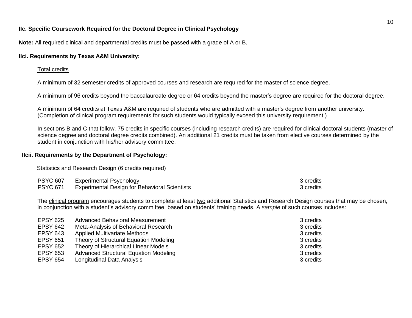## **IIc. Specific Coursework Required for the Doctoral Degree in Clinical Psychology**

**Note:** All required clinical and departmental credits must be passed with a grade of A or B.

## **IIci. Requirements by Texas A&M University:**

## Total credits

A minimum of 32 semester credits of approved courses and research are required for the master of science degree.

A minimum of 96 credits beyond the baccalaureate degree or 64 credits beyond the master's degree are required for the doctoral degree.

A minimum of 64 credits at Texas A&M are required of students who are admitted with a master's degree from another university. (Completion of clinical program requirements for such students would typically exceed this university requirement.)

In sections B and C that follow, 75 credits in specific courses (including research credits) are required for clinical doctoral students (master of science degree and doctoral degree credits combined). An additional 21 credits must be taken from elective courses determined by the student in conjunction with his/her advisory committee.

# **IIcii. Requirements by the Department of Psychology:**

## Statistics and Research Design (6 credits required)

| <b>PSYC 607</b> | <b>Experimental Psychology</b>                       | 3 credits |
|-----------------|------------------------------------------------------|-----------|
| <b>PSYC 671</b> | <b>Experimental Design for Behavioral Scientists</b> | 3 credits |

The clinical program encourages students to complete at least two additional Statistics and Research Design courses that may be chosen, in conjunction with a student's advisory committee, based on students' training needs. A *sample* of such courses includes:

| <b>EPSY 625</b> | Advanced Behavioral Measurement              | 3 credits |
|-----------------|----------------------------------------------|-----------|
| <b>EPSY 642</b> | Meta-Analysis of Behavioral Research         | 3 credits |
| <b>EPSY 643</b> | <b>Applied Multivariate Methods</b>          | 3 credits |
| <b>EPSY 651</b> | Theory of Structural Equation Modeling       | 3 credits |
| <b>EPSY 652</b> | Theory of Hierarchical Linear Models         | 3 credits |
| <b>EPSY 653</b> | <b>Advanced Structural Equation Modeling</b> | 3 credits |
| <b>EPSY 654</b> | Longitudinal Data Analysis                   | 3 credits |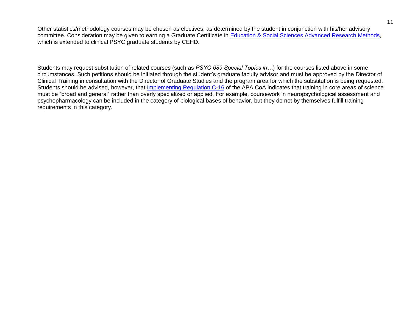Other statistics/methodology courses may be chosen as electives, as determined by the student in conjunction with his/her advisory committee. Consideration may be given to earning a Graduate Certificate in [Education & Social Sciences Advanced Research Methods,](http://education.tamu.edu/advanced-research-methods-certificate-0) which is extended to clinical PSYC graduate students by CEHD.

Students may request substitution of related courses (such as *PSYC 689 Special Topics in…*) for the courses listed above in some circumstances. Such petitions should be initiated through the student's graduate faculty advisor and must be approved by the Director of Clinical Training in consultation with the Director of Graduate Studies and the program area for which the substitution is being requested. Students should be advised, however, that [Implementing Regulation C-16](http://www.apa.org/ed/accreditation/about/policies/implementing-regulations.aspx?item=23) of the APA CoA indicates that training in core areas of science must be "broad and general" rather than overly specialized or applied. For example, coursework in neuropsychological assessment and psychopharmacology can be included in the category of biological bases of behavior, but they do not by themselves fulfill training requirements in this category.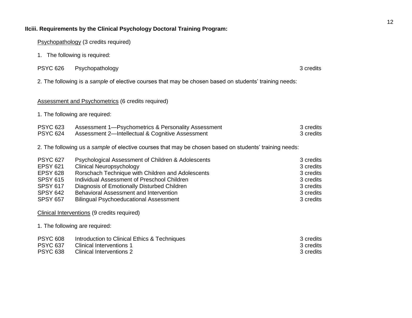# **IIciii. Requirements by the Clinical Psychology Doctoral Training Program:**

Psychopathology (3 credits required)

1. The following is required:

| <b>PSYC 626</b> | Psychopathology | 3 credits |  |
|-----------------|-----------------|-----------|--|
|-----------------|-----------------|-----------|--|

2. The following is a *sample* of elective courses that may be chosen based on students' training needs:

## Assessment and Psychometrics (6 credits required)

1. The following are required:

| <b>PSYC 623</b> | Assessment 1—Psychometrics & Personality Assessment | 3 credits |
|-----------------|-----------------------------------------------------|-----------|
| <b>PSYC 624</b> | Assessment 2—Intellectual & Cognitive Assessment    | 3 credits |

2. The following us a *sample* of elective courses that may be chosen based on students' training needs:

| <b>PSYC 627</b> | Psychological Assessment of Children & Adolescents | 3 credits |
|-----------------|----------------------------------------------------|-----------|
| <b>EPSY 621</b> | <b>Clinical Neuropsychology</b>                    | 3 credits |
| <b>EPSY 628</b> | Rorschach Technique with Children and Adolescents  | 3 credits |
| <b>SPSY 615</b> | Individual Assessment of Preschool Children        | 3 credits |
| <b>SPSY 617</b> | Diagnosis of Emotionally Disturbed Children        | 3 credits |
| <b>SPSY 642</b> | Behavioral Assessment and Intervention             | 3 credits |
| <b>SPSY 657</b> | <b>Bilingual Psychoeducational Assessment</b>      | 3 credits |

Clinical Interventions (9 credits required)

1. The following are required:

| <b>PSYC 608</b> | Introduction to Clinical Ethics & Techniques | 3 credits |
|-----------------|----------------------------------------------|-----------|
| <b>PSYC 637</b> | Clinical Interventions 1                     | 3 credits |
| <b>PSYC 638</b> | Clinical Interventions 2                     | 3 credits |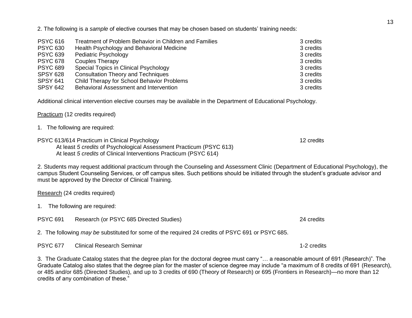2. The following is a *sample* of elective courses that may be chosen based on students' training needs:

| <b>PSYC 616</b> | Treatment of Problem Behavior in Children and Families | 3 credits |
|-----------------|--------------------------------------------------------|-----------|
| <b>PSYC 630</b> | Health Psychology and Behavioral Medicine              | 3 credits |
| <b>PSYC 639</b> | Pediatric Psychology                                   | 3 credits |
| <b>PSYC 678</b> | Couples Therapy                                        | 3 credits |
| <b>PSYC 689</b> | Special Topics in Clinical Psychology                  | 3 credits |
| <b>SPSY 628</b> | <b>Consultation Theory and Techniques</b>              | 3 credits |
| <b>SPSY 641</b> | Child Therapy for School Behavior Problems             | 3 credits |
| <b>SPSY 642</b> | Behavioral Assessment and Intervention                 | 3 credits |

Additional clinical intervention elective courses may be available in the Department of Educational Psychology.

Practicum (12 credits required)

- 1. The following are required:
- PSYC 613/614 Practicum in Clinical Psychology 12 credits 12 credits 12 credits

At least *5 credits* of Psychological Assessment Practicum (PSYC 613) At least *5 credits* of Clinical Interventions Practicum (PSYC 614)

2. Students may request additional practicum through the Counseling and Assessment Clinic (Department of Educational Psychology), the campus Student Counseling Services, or off campus sites. Such petitions should be initiated through the student's graduate advisor and must be approved by the Director of Clinical Training.

| Research (24 credits required) |  |  |  |
|--------------------------------|--|--|--|
|                                |  |  |  |

- 1. The following are required:
- PSYC 691 Research (or PSYC 685 Directed Studies) 24 credits

2. The following *may be* substituted for some of the required 24 credits of PSYC 691 or PSYC 685.

PSYC 677 Clinical Research Seminar 1996 1997 12 credits 1-2 credits

3. The Graduate Catalog states that the degree plan for the doctoral degree must carry "… a reasonable amount of 691 (Research)". The Graduate Catalog also states that the degree plan for the master of science degree may include "a maximum of 8 credits of 691 (Research), or 485 and/or 685 (Directed Studies), and up to 3 credits of 690 (Theory of Research) or 695 (Frontiers in Research)—no more than 12 credits of any combination of these."

13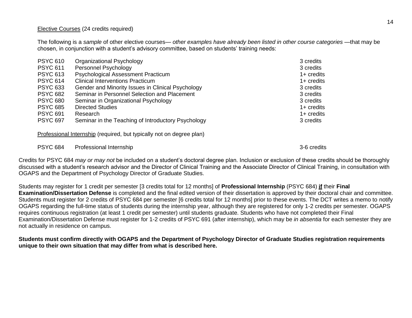## Elective Courses (24 credits required)

The following is a *sample* of other elective courses— *other examples have already been listed in other course categories* —that may be chosen, in conjunction with a student's advisory committee, based on students' training needs:

| <b>PSYC 610</b> | Organizational Psychology                          | 3 credits    |
|-----------------|----------------------------------------------------|--------------|
| <b>PSYC 611</b> | Personnel Psychology                               | 3 credits    |
| <b>PSYC 613</b> | <b>Psychological Assessment Practicum</b>          | $1+$ credits |
| <b>PSYC 614</b> | <b>Clinical Interventions Practicum</b>            | $1+$ credits |
| <b>PSYC 633</b> | Gender and Minority Issues in Clinical Psychology  | 3 credits    |
| <b>PSYC 682</b> | Seminar in Personnel Selection and Placement       | 3 credits    |
| <b>PSYC 680</b> | Seminar in Organizational Psychology               | 3 credits    |
| <b>PSYC 685</b> | <b>Directed Studies</b>                            | $1+$ credits |
| <b>PSYC 691</b> | Research                                           | $1+$ credits |
| <b>PSYC 697</b> | Seminar in the Teaching of Introductory Psychology | 3 credits    |

Professional Internship (required, but typically not on degree plan)

PSYC 684 Professional Internship 3-6 credits 3-6 credits

Credits for PSYC 684 *may or may not* be included on a student's doctoral degree plan. Inclusion or exclusion of these credits should be thoroughly discussed with a student's research advisor and the Director of Clinical Training and the Associate Director of Clinical Training, in consultation with OGAPS and the Department of Psychology Director of Graduate Studies.

Students may register for 1 credit per semester [3 credits total for 12 months] of **Professional Internship** (PSYC 684) **if** their **Final Examination/Dissertation Defense** is completed and the final edited version of their dissertation is approved by their doctoral chair and committee. Students must register for 2 credits of PSYC 684 per semester [6 credits total for 12 months] prior to these events. The DCT writes a memo to notify OGAPS regarding the full-time status of students during the internship year, although they are registered for only 1-2 credits per semester. OGAPS requires continuous registration (at least 1 credit per semester) until students graduate. Students who have not completed their Final Examination/Dissertation Defense must register for 1-2 credits of PSYC 691 (after internship), which may be *in absentia* for each semester they are not actually in residence on campus.

**Students must confirm directly with OGAPS and the Department of Psychology Director of Graduate Studies registration requirements unique to their own situation that may differ from what is described here.**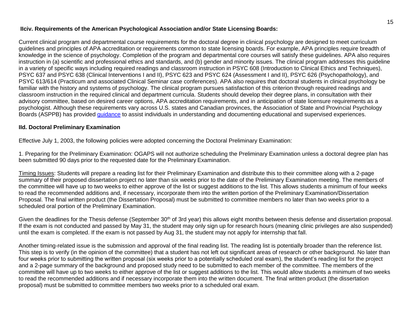# **IIciv. Requirements of the American Psychological Association and/or State Licensing Boards:**

Current clinical program and departmental course requirements for the doctoral degree in clinical psychology are designed to meet curriculum guidelines and principles of APA accreditation or requirements common to state licensing boards. For example, APA principles require breadth of knowledge in the science of psychology. Completion of the program and departmental core courses will satisfy these guidelines. APA also requires instruction in (a) scientific and professional ethics and standards, and (b) gender and minority issues. The clinical program addresses this guideline in a variety of specific ways including required readings and classroom instruction in PSYC 608 (Introduction to Clinical Ethics and Techniques), PSYC 637 and PSYC 638 (Clinical Interventions I and II), PSYC 623 and PSYC 624 (Assessment I and II), PSYC 626 (Psychopathology), and PSYC 613/614 (Practicum and associated Clinical Seminar case conferences). APA also requires that doctoral students in clinical psychology be familiar with the history and systems of psychology. The clinical program pursues satisfaction of this criterion through required readings and classroom instruction in the required clinical and department curricula. Students should develop their degree plans, in consultation with their advisory committee, based on desired career options, APA accreditation requirements, and in anticipation of state licensure requirements as a psychologist. Although these requirements vary across U.S. states and Canadian provinces, the Association of State and Provincial Psychology Boards (ASPPB) has provided *guidance* to assist individuals in understanding and documenting educational and supervised experiences.

## **IId. Doctoral Preliminary Examination**

Effective July 1, 2003, the following policies were adopted concerning the Doctoral Preliminary Examination:

1. Preparing for the Preliminary Examination: OGAPS will not authorize scheduling the Preliminary Examination unless a doctoral degree plan has been submitted 90 days prior to the requested date for the Preliminary Examination.

Timing Issues: Students will prepare a reading list for their Preliminary Examination and distribute this to their committee along with a 2-page summary of their proposed dissertation project no later than six weeks prior to the date of the Preliminary Examination meeting. The members of the committee will have up to two weeks to either approve of the list or suggest additions to the list. This allows students a minimum of four weeks to read the recommended additions and, if necessary, incorporate them into the written portion of the Preliminary Examination/Dissertation Proposal. The final written product (the Dissertation Proposal) must be submitted to committee members no later than two weeks prior to a scheduled oral portion of the Preliminary Examination.

Given the deadlines for the Thesis defense (September 30<sup>th</sup> of 3rd year) this allows eight months between thesis defense and dissertation proposal. If the exam is not conducted and passed by May 31, the student may only sign up for research hours (meaning clinic privileges are also suspended) until the exam is completed. If the exam is not passed by Aug 31, the student may not apply for internship that fall.

Another timing-related issue is the submission and approval of the final reading list. The reading list is potentially broader than the reference list. This step is to verify (in the opinion of the committee) that a student has not left out significant areas of research or other background. No later than four weeks prior to submitting the written proposal (six weeks prior to a potentially scheduled oral exam), the student's reading list for the project and a 2-page summary of the background and proposed study need to be submitted to each member of the committee. The members of the committee will have up to two weeks to either approve of the list or suggest additions to the list. This would allow students a minimum of two weeks to read the recommended additions and if necessary incorporate them into the written document. The final written product (the dissertation proposal) must be submitted to committee members two weeks prior to a scheduled oral exam.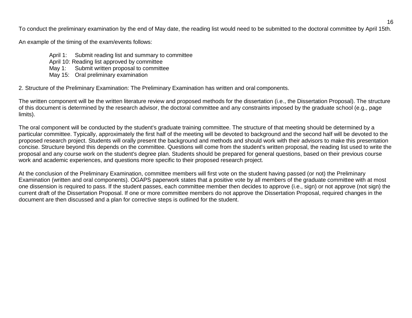To conduct the preliminary examination by the end of May date, the reading list would need to be submitted to the doctoral committee by April 15th.

An example of the timing of the exam/events follows:

- April 1: Submit reading list and summary to committee
- April 10: Reading list approved by committee
- May 1: Submit written proposal to committee
- May 15: Oral preliminary examination

2. Structure of the Preliminary Examination: The Preliminary Examination has written and oral components.

The written component will be the written literature review and proposed methods for the dissertation (i.e., the Dissertation Proposal). The structure of this document is determined by the research advisor, the doctoral committee and any constraints imposed by the graduate school (e.g., page limits).

The oral component will be conducted by the student's graduate training committee. The structure of that meeting should be determined by a particular committee. Typically, approximately the first half of the meeting will be devoted to background and the second half will be devoted to the proposed research project. Students will orally present the background and methods and should work with their advisors to make this presentation concise. Structure beyond this depends on the committee. Questions will come from the student's written proposal, the reading list used to write the proposal and any course work on the student's degree plan. Students should be prepared for general questions, based on their previous course work and academic experiences, and questions more specific to their proposed research project.

At the conclusion of the Preliminary Examination, committee members will first vote on the student having passed (or not) the Preliminary Examination (written and oral components). OGAPS paperwork states that a positive vote by all members of the graduate committee with at most one dissension is required to pass. If the student passes, each committee member then decides to approve (i.e., sign) or not approve (not sign) the current draft of the Dissertation Proposal. If one or more committee members do not approve the Dissertation Proposal, required changes in the document are then discussed and a plan for corrective steps is outlined for the student.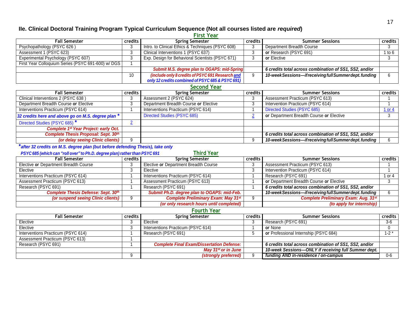# **IIe. Clinical Doctoral Training Program Typical Curriculum Sequence (Not all courses listed are** *required***)**

**First Year**

|                                                    |            | .                                                 |         |                                                         |          |
|----------------------------------------------------|------------|---------------------------------------------------|---------|---------------------------------------------------------|----------|
| <b>Fall Semester</b>                               |            | credits<br><b>Spring Semester</b>                 |         | <b>Summer Sessions</b>                                  | credits  |
| Psychopathology (PSYC 626)                         |            | Intro. to Clinical Ethics & Techniques (PSYC 608) |         | Department Breadth Course                               |          |
| Assessment 1 (PSYC 623)                            | 3          | Clinical Interventions 1 (PSYC 637)               | 3       | or Research (PSYC 691)                                  | 1 to $6$ |
| Experimental Psychology (PSYC 607)                 |            | Exp. Design for Behavioral Scientists (PSYC 671)  | 3       | or Elective                                             |          |
| First Year Colloquium Series (PSYC 691-600) w/ DGS |            |                                                   |         |                                                         |          |
|                                                    |            | Submit M.S. degree plan to OGAPS: mid-Spring      |         | 6 credits total across combination of SS1, SS2, and/or  |          |
|                                                    | 10         | (include only 8 credits of PSYC 691 Research and  | 9       | 10-week Sessions-if receiving full Summer dept. funding | 6        |
|                                                    |            | only 12 credits combined of PSYC 685 & PSYC 691)  |         |                                                         |          |
|                                                    |            | <b>Second Year</b>                                |         |                                                         |          |
| <b>Fall Semester</b>                               | credits    | <b>Spring Semester</b>                            | credits | <b>Summer Sessions</b>                                  | credits  |
| Clinical Interventions 2 (PSYC 638)                | 3          | Assessment 2 (PSYC 624)                           | 3       | Assessment Practicum (PSYC 613)                         |          |
| Department Breadth Course or Elective              | 3          | Department Breadth Course or Elective             |         | Intervention Practicum (PSYC 614)                       |          |
| Interventions Practicum (PSYC 614)                 |            | Interventions Practicum (PSYC 614)                |         | Directed Studies (PSYC 685)                             | 1 or 4   |
| 32 credits here and above go on M.S. degree plan * |            | <b>Directed Studies (PSYC 685)</b>                |         | or Department Breadth Course or Elective                |          |
| Directed Studies (PSYC 685) *                      | $\epsilon$ |                                                   |         |                                                         |          |
|                                                    |            |                                                   |         |                                                         |          |
| <b>Complete 1st Year Project: early Oct.</b>       |            |                                                   |         |                                                         |          |
| <b>Complete Thesis Proposal: Sept. 30th</b>        |            |                                                   |         | 6 credits total across combination of SS1, SS2, and/or  |          |

# **\****after 32 credits on M.S. degree plan (but before defending Thesis), take only*

| <b>Third Year</b><br>PSYC 685 (which can "roll over" to Ph.D. degree plan) rather than PSYC 691 |           |                                             |   |                                                         |         |  |  |
|-------------------------------------------------------------------------------------------------|-----------|---------------------------------------------|---|---------------------------------------------------------|---------|--|--|
| <b>Fall Semester</b>                                                                            | credits I | <b>Spring Semester</b><br>credits           |   | <b>Summer Sessions</b>                                  | credits |  |  |
| Elective or Department Breadth Course                                                           |           | Elective or Department Breadth Course       | 3 | Assessment Practicum (PSYC 613)                         |         |  |  |
| Elective                                                                                        |           | Elective                                    |   | Intervention Practicum (PSYC 614)                       |         |  |  |
| Interventions Practicum (PSYC 614)                                                              |           | Interventions Practicum (PSYC 614)          |   | Research (PSYC 691)                                     | l or 4  |  |  |
| Assessment Practicum (PSYC 613)                                                                 |           | Assessment Practicum (PSYC 613)             |   | or Department Breadth Course or Elective                |         |  |  |
| Research (PSYC 691)                                                                             |           | Research (PSYC 691)                         |   | 6 credits total across combination of SS1, SS2, and/or  |         |  |  |
| <b>Complete Thesis Defense: Sept. 30th</b>                                                      |           | Submit Ph.D. degree plan to OGAPS: mid-Feb. |   | 10-week Sessions-if receiving full Summer dept. funding |         |  |  |
| (or suspend seeing Clinic clients)                                                              |           | <b>Complete Preliminary Exam: May 31st</b>  |   | <b>Complete Preliminary Exam: Aug. 31st</b>             |         |  |  |
|                                                                                                 |           | (or only research hours until completed)    |   | (to apply for internship)                               |         |  |  |

*(or delay seeing Clinic clients)* 9 9 *10-weekSessions—ifreceivingfullSummerdept.funding* 6

## **Fourth Year**

| <b>Fall Semester</b>               | <b>credits</b> | <b>Spring Semester</b>                           | credits | <b>Summer Sessions</b>                                 | <b>credits</b> |
|------------------------------------|----------------|--------------------------------------------------|---------|--------------------------------------------------------|----------------|
| Elective                           |                | Elective                                         |         | Research (PSYC 691)                                    | -3-6           |
| Elective                           |                | Interventions Practicum (PSYC 614)               |         | or None                                                |                |
| Interventions Practicum (PSYC 614) |                | Research (PSYC 691)                              |         | or Professional Internship (PSYC 684)                  | $1 - 2$        |
| Assessment Practicum (PSYC 613)    |                |                                                  |         |                                                        |                |
| Research (PSYC 691)                |                | <b>Complete Final Exam/Dissertation Defense:</b> |         | 6 credits total across combination of SS1, SS2, and/or |                |
|                                    |                | May 31st or in June $\parallel$                  |         | 10-week Sessions-ONLY if receiving full Summer dept.   |                |
|                                    |                | (strongly preferred)                             |         | funding AND in-residence / on-campus                   | 0-6            |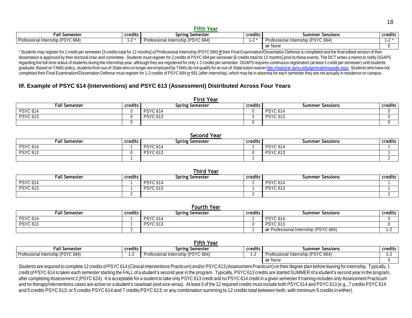#### **Fifth Year**

| . all Semester                             | .<br><b>credits</b> | Spring Semester                          | credits | <b>Summer Sessions</b>                    | credits  |
|--------------------------------------------|---------------------|------------------------------------------|---------|-------------------------------------------|----------|
| (PSYC 684) ر<br>Profession<br>l Internship | $\sim$              | (PSYC 684) (<br>Professional Internship, |         | (PSYC 684)<br>Internship (<br>Professiona | $\cdots$ |
|                                            |                     |                                          |         | or None                                   |          |

\* Students may register for 1 credit per semester [3 credits total for 12 months] of Professional Internship (PSYC 684) if their Final Examination/Dissertation Defense is completed and the final edited version of their dissertation is approved by their doctoral chair and committee. Students must register for 2 credits of PSYC 684 per semester [6 credits total for 12 months] prior to these events. The DCT writes a memo to notify OGAPS regarding the full-time status of students during the internship year, although they are registered for only 1-2 credits per semester. OGAPS requires continuous registration (at least 1 credit per semester) until students graduate. Based on TAMU policy, students from out-of-State who no longer are employed by TAMU do not qualify for an out-of-State tuition waiver http://registrar.tamu.edu/general/resguide.aspx. Students who have not completed their Final Examination/Dissertation Defense must register for 1-2 credits of PSYC 684 or 691 (after internship), which may be in absentia for each semester they are not actually in residence on campus.

# **IIf. Example of PSYC 614 (Interventions) and PSYC 613 (Assessment) Distributed Across Four Years**

| <b>First Year</b> |           |                 |         |                        |         |  |  |  |
|-------------------|-----------|-----------------|---------|------------------------|---------|--|--|--|
| Fall Semester     | credits I | Spring Semester | credits | <b>Summer Sessions</b> | credits |  |  |  |
| <b>PSYC 614</b>   |           | <b>PSYC 614</b> |         | <b>PSYC 614</b>        |         |  |  |  |
| <b>PSYC 613</b>   |           | <b>PSYC 613</b> |         | <b>PSYC 613</b>        |         |  |  |  |
|                   |           |                 |         |                        |         |  |  |  |

| Second Year     |         |                        |         |                        |         |  |  |  |
|-----------------|---------|------------------------|---------|------------------------|---------|--|--|--|
| Fall Semester   | credits | <b>Spring Semester</b> | credits | <b>Summer Sessions</b> | credits |  |  |  |
| <b>PSYC 614</b> |         | <b>PSYC 614</b>        |         | <b>PSYC 614</b>        |         |  |  |  |
| <b>PSYC 613</b> |         | <b>PSYC 613</b>        |         | <b>PSYC 613</b>        |         |  |  |  |
|                 |         |                        |         |                        |         |  |  |  |

| Third Year      |         |                 |         |                        |         |  |  |  |
|-----------------|---------|-----------------|---------|------------------------|---------|--|--|--|
| Fall Semester   | credits | Spring Semester | credits | <b>Summer Sessions</b> | credits |  |  |  |
| <b>PSYC 614</b> |         | <b>PSYC 614</b> |         | <b>PSYC 614</b>        |         |  |  |  |
| <b>PSYC 613</b> |         | <b>PSYC 613</b> |         | <b>PSYC 613</b>        |         |  |  |  |
|                 |         |                 |         |                        |         |  |  |  |

| <b>Fourth Year</b>   |                |                 |         |                                       |                |  |  |  |
|----------------------|----------------|-----------------|---------|---------------------------------------|----------------|--|--|--|
| <b>Fall Semester</b> | <b>credits</b> | Spring Semester | credits | <b>Summer Sessions</b>                | <b>credits</b> |  |  |  |
| <b>PSYC 614</b>      |                | <b>PSYC 614</b> |         | <b>PSYC 614</b>                       |                |  |  |  |
| <b>PSYC 613</b>      |                | <b>PSYC 613</b> |         | <b>PSYC 613</b>                       |                |  |  |  |
|                      |                |                 |         | or Professional Internship (PSYC 684) |                |  |  |  |

| Fifth Year                         |              |                                    |         |                                    |                |  |  |  |
|------------------------------------|--------------|------------------------------------|---------|------------------------------------|----------------|--|--|--|
| rall Semester                      | credits      | Spring Semester                    | credits | <b>Summer Sessions</b>             | <b>credits</b> |  |  |  |
| Professional Internship (PSYC 684) | $\mathbf{I}$ | Professional Internship (PSYC 684) | $\sim$  | Professional Internship (PSYC 684) | . .            |  |  |  |
|                                    |              |                                    |         | or None                            |                |  |  |  |

Students are required to complete 12 credits ofPSYC 614 (Clinical Interventions Practicum) and/or PSYC 613 (Assessment Practicum) on their degree plan before leaving forinternship. Typically, 1 credit of PSYC 614 is taken each semester starting the FALL of a student's second year in the program. Typically, PSYC 613 credits are started SUMMER of a student's second year in the program, after completing Assessment 2 (PSYC 624). It is acceptable for a student to take only PSYC 613 credit and no PSYC 614 credit in a given semester if training includes only Assessment Practicum and no therapy/interventions cases are active on a student's caseload (and vice versa). At least 5 of the 12 required credits must include both PSYC 614 and PSYC 613 (e.g., 7 credits PSYC 614 and 5 credits PSYC 613; or 5 credits PSYC 614 and 7 credits PSYC 613; or any combination summing to 12 credits total between both, with minimum 5 credits in either).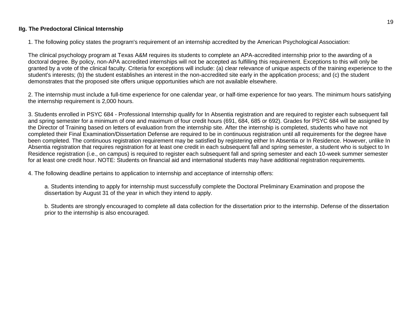# **IIg. The Predoctoral Clinical Internship**

1. The following policy states the program's requirement of an internship accredited by the American Psychological Association:

The clinical psychology program at Texas A&M requires its students to complete an APA-accredited internship prior to the awarding of a doctoral degree. By policy, non-APA accredited internships will not be accepted as fulfilling this requirement. Exceptions to this will only be granted by a vote of the clinical faculty. Criteria for exceptions will include: (a) clear relevance of unique aspects of the training experience to the student's interests; (b) the student establishes an interest in the non-accredited site early in the application process; and (c) the student demonstrates that the proposed site offers unique opportunities which are not available elsewhere.

2. The internship must include a full-time experience for one calendar year, or half-time experience for two years. The minimum hours satisfying the internship requirement is 2,000 hours.

3. Students enrolled in PSYC 684 - Professional Internship qualify for In Absentia registration and are required to register each subsequent fall and spring semester for a minimum of one and maximum of four credit hours (691, 684, 685 or 692). Grades for PSYC 684 will be assigned by the Director of Training based on letters of evaluation from the internship site. After the internship is completed, students who have not completed their Final Examination/Dissertation Defense are required to be in continuous registration until all requirements for the degree have been completed. The continuous registration requirement may be satisfied by registering either In Absentia or In Residence. However, unlike In Absentia registration that requires registration for at least one credit in each subsequent fall and spring semester, a student who is subject to In Residence registration (i.e., on campus) is required to register each subsequent fall and spring semester and each 10-week summer semester for at least one credit hour. NOTE: Students on financial aid and international students may have additional registration requirements.

4. The following deadline pertains to application to internship and acceptance of internship offers:

a. Students intending to apply for internship must successfully complete the Doctoral Preliminary Examination and propose the dissertation by August 31 of the year in which they intend to apply.

b. Students are strongly encouraged to complete all data collection for the dissertation prior to the internship. Defense of the dissertation prior to the internship is also encouraged.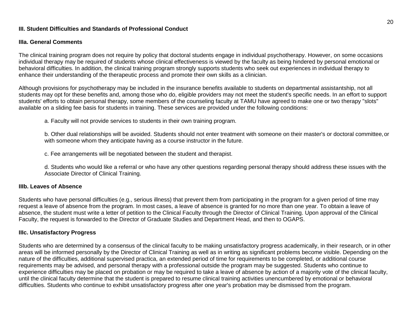## **III. Student Difficulties and Standards of Professional Conduct**

#### **IIIa. General Comments**

The clinical training program does not require by policy that doctoral students engage in individual psychotherapy. However, on some occasions individual therapy may be required of students whose clinical effectiveness is viewed by the faculty as being hindered by personal emotional or behavioral difficulties. In addition, the clinical training program strongly supports students who seek out experiences in individual therapy to enhance their understanding of the therapeutic process and promote their own skills as a clinician.

Although provisions for psychotherapy may be included in the insurance benefits available to students on departmental assistantship, not all students may opt for these benefits and, among those who do, eligible providers may not meet the student's specific needs. In an effort to support students' efforts to obtain personal therapy, some members of the counseling faculty at TAMU have agreed to make one or two therapy "slots" available on a sliding fee basis for students in training. These services are provided under the following conditions:

a. Faculty will not provide services to students in their own training program.

b. Other dual relationships will be avoided. Students should not enter treatment with someone on their master's or doctoral committee,or with someone whom they anticipate having as a course instructor in the future.

c. Fee arrangements will be negotiated between the student and therapist.

d. Students who would like a referral or who have any other questions regarding personal therapy should address these issues with the Associate Director of Clinical Training.

#### **IIIb. Leaves of Absence**

Students who have personal difficulties (e.g., serious illness) that prevent them from participating in the program for a given period of time may request a leave of absence from the program. In most cases, a leave of absence is granted for no more than one year. To obtain a leave of absence, the student must write a letter of petition to the Clinical Faculty through the Director of Clinical Training. Upon approval of the Clinical Faculty, the request is forwarded to the Director of Graduate Studies and Department Head, and then to OGAPS.

#### **IIIc. Unsatisfactory Progress**

Students who are determined by a consensus of the clinical faculty to be making unsatisfactory progress academically, in their research, or in other areas will be informed personally by the Director of Clinical Training as well as in writing as significant problems become visible. Depending on the nature of the difficulties, additional supervised practica, an extended period of time for requirements to be completed, or additional course requirements may be advised, and personal therapy with a professional outside the program may be suggested. Students who continue to experience difficulties may be placed on probation or may be required to take a leave of absence by action of a majority vote of the clinical faculty, until the clinical faculty determine that the student is prepared to resume clinical training activities unencumbered by emotional or behavioral difficulties. Students who continue to exhibit unsatisfactory progress after one year's probation may be dismissed from the program.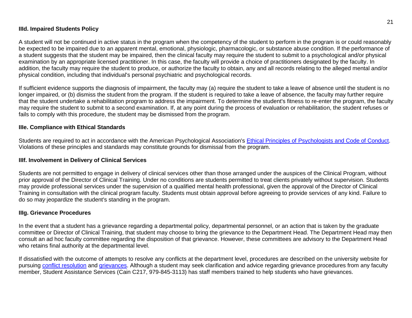# **IIId. Impaired Students Policy**

A student will not be continued in active status in the program when the competency of the student to perform in the program is or could reasonably be expected to be impaired due to an apparent mental, emotional, physiologic, pharmacologic, or substance abuse condition. If the performance of a student suggests that the student may be impaired, then the clinical faculty may require the student to submit to a psychological and/or physical examination by an appropriate licensed practitioner. In this case, the faculty will provide a choice of practitioners designated by the faculty. In addition, the faculty may require the student to produce, or authorize the faculty to obtain, any and all records relating to the alleged mental and/or physical condition, including that individual's personal psychiatric and psychological records.

If sufficient evidence supports the diagnosis of impairment, the faculty may (a) require the student to take a leave of absence until the student is no longer impaired, or (b) dismiss the student from the program. If the student is required to take a leave of absence, the faculty may further require that the student undertake a rehabilitation program to address the impairment. To determine the student's fitness to re-enter the program, the faculty may require the student to submit to a second examination. If, at any point during the process of evaluation or rehabilitation, the student refuses or fails to comply with this procedure, the student may be dismissed from the program.

## **IIIe. Compliance with Ethical Standards**

Students are required to act in accordance with the American Psychological Association's [Ethical Principles of Psychologists and Code of Conduct.](http://www.apa.org/ethics/code/index.aspx) Violations of these principles and standards may constitute grounds for dismissal from the program.

## **IIIf. Involvement in Delivery of Clinical Services**

Students are not permitted to engage in delivery of clinical services other than those arranged under the auspices of the Clinical Program, without prior approval of the Director of Clinical Training. Under no conditions are students permitted to treat clients privately without supervision. Students may provide professional services under the supervision of a qualified mental health professional, given the approval of the Director of Clinical Training in consultation with the clinical program faculty. Students must obtain approval before agreeing to provide services of any kind. Failure to do so may jeopardize the student's standing in the program.

## **IIIg. Grievance Procedures**

In the event that a student has a grievance regarding a departmental policy, departmental personnel, or an action that is taken by the graduate committee or Director of Clinical Training, that student may choose to bring the grievance to the Department Head. The Department Head may then consult an ad hoc faculty committee regarding the disposition of that grievance. However, these committees are advisory to the Department Head who retains final authority at the departmental level.

If dissatisfied with the outcome of attempts to resolve any conflicts at the department level, procedures are described on the university website for pursuing [conflict resolution](http://ogs.tamu.edu/current-students/ombudsperson/) and [grievances.](http://student-rules.tamu.edu/studentgrievanceprocedures) Although a student may seek clarification and advice regarding grievance procedures from any faculty member, Student Assistance Services (Cain C217, 979-845-3113) has staff members trained to help students who have grievances.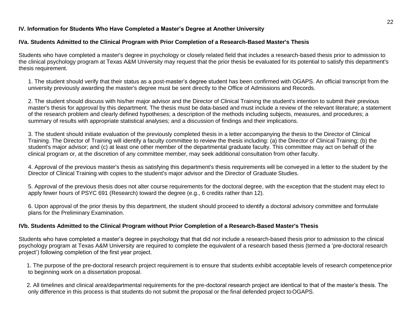# **IV. Information for Students Who Have Completed a Master's Degree at Another University**

# **IVa. Students Admitted to the Clinical Program with Prior Completion of a Research-Based Master's Thesis**

Students who have completed a master's degree in psychology or closely related field that includes a research-based thesis prior to admission to the clinical psychology program at Texas A&M University may request that the prior thesis be evaluated for its potential to satisfy this department's thesis requirement.

1. The student should verify that their status as a post-master's degree student has been confirmed with OGAPS. An official transcript from the university previously awarding the master's degree must be sent directly to the Office of Admissions and Records.

2. The student should discuss with his/her major advisor and the Director of Clinical Training the student's intention to submit their previous master's thesis for approval by this department. The thesis must be data-based and must include a review of the relevant literature; a statement of the research problem and clearly defined hypotheses; a description of the methods including subjects, measures, and procedures; a summary of results with appropriate statistical analyses; and a discussion of findings and their implications.

3. The student should initiate evaluation of the previously completed thesis in a letter accompanying the thesis to the Director of Clinical Training. The Director of Training will identify a faculty committee to review the thesis including: (a) the Director of Clinical Training; (b) the student's major advisor; and (c) at least one other member of the departmental graduate faculty. This committee may act on behalf of the clinical program or, at the discretion of any committee member, may seek additional consultation from other faculty.

4. Approval of the previous master's thesis as satisfying this department's thesis requirements will be conveyed in a letter to the student by the Director of Clinical Training with copies to the student's major advisor and the Director of Graduate Studies.

5. Approval of the previous thesis does not alter course requirements for the doctoral degree, with the exception that the student may elect to apply fewer hours of PSYC 691 (Research) toward the degree (e.g., 6 credits rather than 12).

6. Upon approval of the prior thesis by this department, the student should proceed to identify a doctoral advisory committee and formulate plans for the Preliminary Examination.

# **IVb. Students Admitted to the Clinical Program without Prior Completion of a Research-Based Master's Thesis**

Students who have completed a master's degree in psychology that that did *not* include a research-based thesis prior to admission to the clinical psychology program at Texas A&M University are required to complete the equivalent of a research based thesis (termed a 'pre-doctoral research project') following completion of the first year project.

1. The purpose of the pre-doctoral research project requirement is to ensure that students exhibit acceptable levels of research competenceprior to beginning work on a dissertation proposal.

2. All timelines and clinical area/departmental requirements for the pre-doctoral research project are identical to that of the master's thesis. The only difference in this process is that students do not submit the proposal or the final defended project toOGAPS.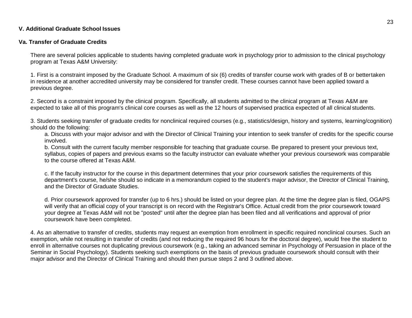## **V. Additional Graduate School Issues**

## **Va. Transfer of Graduate Credits**

There are several policies applicable to students having completed graduate work in psychology prior to admission to the clinical psychology program at Texas A&M University:

1. First is a constraint imposed by the Graduate School. A maximum of six (6) credits of transfer course work with grades of B or bettertaken in residence at another accredited university may be considered for transfer credit. These courses cannot have been applied toward a previous degree.

2. Second is a constraint imposed by the clinical program. Specifically, all students admitted to the clinical program at Texas A&M are expected to take all of this program's clinical core courses as well as the 12 hours of supervised practica expected of all clinical students.

3. Students seeking transfer of graduate credits for nonclinical required courses (e.g., statistics/design, history and systems, learning/cognition) should do the following:

a. Discuss with your major advisor and with the Director of Clinical Training your intention to seek transfer of credits for the specific course involved.

b. Consult with the current faculty member responsible for teaching that graduate course. Be prepared to present your previous text, syllabus, copies of papers and previous exams so the faculty instructor can evaluate whether your previous coursework was comparable to the course offered at Texas A&M.

c. If the faculty instructor for the course in this department determines that your prior coursework satisfies the requirements of this department's course, he/she should so indicate in a memorandum copied to the student's major advisor, the Director of Clinical Training, and the Director of Graduate Studies.

d. Prior coursework approved for transfer (up to 6 hrs.) should be listed on your degree plan. At the time the degree plan is filed, OGAPS will verify that an official copy of your transcript is on record with the Registrar's Office. Actual credit from the prior coursework toward your degree at Texas A&M will not be "posted" until after the degree plan has been filed and all verifications and approval of prior coursework have been completed.

4. As an alternative to transfer of credits, students may request an exemption from enrollment in specific required nonclinical courses. Such an exemption, while not resulting in transfer of credits (and not reducing the required 96 hours for the doctoral degree), would free the student to enroll in alternative courses not duplicating previous coursework (e.g., taking an advanced seminar in Psychology of Persuasion in place of the Seminar in Social Psychology). Students seeking such exemptions on the basis of previous graduate coursework should consult with their major advisor and the Director of Clinical Training and should then pursue steps 2 and 3 outlined above.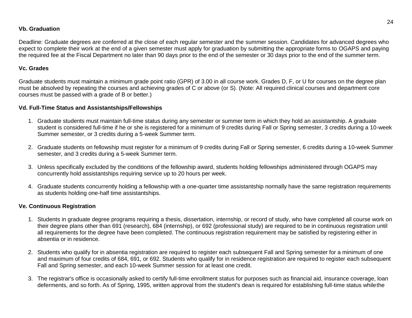# **Vb. Graduation**

Deadline: Graduate degrees are conferred at the close of each regular semester and the summer session. Candidates for advanced degrees who expect to complete their work at the end of a given semester must apply for graduation by submitting the appropriate forms to OGAPS and paying the required fee at the Fiscal Department no later than 90 days prior to the end of the semester or 30 days prior to the end of the summer term.

# **Vc. Grades**

Graduate students must maintain a minimum grade point ratio (GPR) of 3.00 in all course work. Grades D, F, or U for courses on the degree plan must be absolved by repeating the courses and achieving grades of C or above (or S). (Note: All required clinical courses and department core courses must be passed with a grade of B or better.)

# **Vd. Full-Time Status and Assistantships/Fellowships**

- 1. Graduate students must maintain full-time status during any semester or summer term in which they hold an assistantship. A graduate student is considered full-time if he or she is registered for a minimum of 9 credits during Fall or Spring semester, 3 credits during a 10-week Summer semester, or 3 credits during a 5-week Summer term.
- 2. Graduate students on fellowship must register for a minimum of 9 credits during Fall or Spring semester, 6 credits during a 10-week Summer semester, and 3 credits during a 5-week Summer term.
- 3. Unless specifically excluded by the conditions of the fellowship award, students holding fellowships administered through OGAPS may concurrently hold assistantships requiring service up to 20 hours per week.
- 4. Graduate students concurrently holding a fellowship with a one-quarter time assistantship normally have the same registration requirements as students holding one-half time assistantships.

# **Ve. Continuous Registration**

- 1. Students in graduate degree programs requiring a thesis, dissertation, internship, or record of study, who have completed all course work on their degree plans other than 691 (research), 684 (internship), or 692 (professional study) are required to be in continuous registration until all requirements for the degree have been completed. The continuous registration requirement may be satisfied by registering either in absentia or in residence.
- 2. Students who qualify for in absentia registration are required to register each subsequent Fall and Spring semester for a minimum of one and maximum of four credits of 684, 691, or 692. Students who qualify for in residence registration are required to register each subsequent Fall and Spring semester, and each 10-week Summer session for at least one credit.
- 3. The registrar's office is occasionally asked to certify full-time enrollment status for purposes such as financial aid, insurance coverage, loan deferments, and so forth. As of Spring, 1995, written approval from the student's dean is required for establishing full-time status whilethe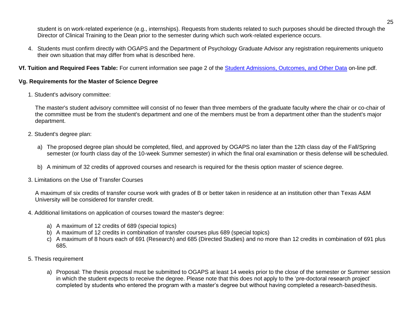student is on work-related experience (e.g., internships). Requests from students related to such purposes should be directed through the Director of Clinical Training to the Dean prior to the semester during which such work-related experience occurs.

4. Students must confirm directly with OGAPS and the Department of Psychology Graduate Advisor any registration requirements uniqueto their own situation that may differ from what is described here.

**Vf. Tuition and Required Fees Table:** For current information see page 2 of the [Student Admissions, Outcomes, and Other Data](http://psychology.tamu.edu/documents/CoA_required_additional_program_data_08_12_14.pdf) on-line pdf.

# **Vg. Requirements for the Master of Science Degree**

1. Student's advisory committee:

The master's student advisory committee will consist of no fewer than three members of the graduate faculty where the chair or co-chair of the committee must be from the student's department and one of the members must be from a department other than the student's major department.

- 2. Student's degree plan:
	- a) The proposed degree plan should be completed, filed, and approved by OGAPS no later than the 12th class day of the Fall/Spring semester (or fourth class day of the 10-week Summer semester) in which the final oral examination or thesis defense will bescheduled.
	- b) A minimum of 32 credits of approved courses and research is required for the thesis option master of science degree.
- 3. Limitations on the Use of Transfer Courses

A maximum of six credits of transfer course work with grades of B or better taken in residence at an institution other than Texas A&M University will be considered for transfer credit.

- 4. Additional limitations on application of courses toward the master's degree:
	- a) A maximum of 12 credits of 689 (special topics)
	- b) A maximum of 12 credits in combination of transfer courses plus 689 (special topics)
	- c) A maximum of 8 hours each of 691 (Research) and 685 (Directed Studies) and no more than 12 credits in combination of 691 plus 685.
- 5. Thesis requirement
	- a) Proposal: The thesis proposal must be submitted to OGAPS at least 14 weeks prior to the close of the semester or Summer session in which the student expects to receive the degree. Please note that this does not apply to the 'pre-doctoral research project' completed by students who entered the program with a master's degree but without having completed a research-basedthesis.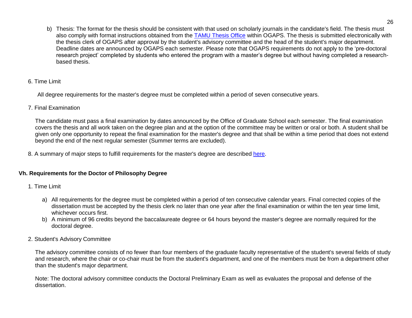- b) Thesis: The format for the thesis should be consistent with that used on scholarly journals in the candidate's field. The thesis must also comply with format instructions obtained from the **[TAMU Thesis Office](http://ogs.tamu.edu/current-students/thesis-dissertation/)** within OGAPS. The thesis is submitted electronically with the thesis clerk of OGAPS after approval by the student's advisory committee and the head of the student's major department. Deadline dates are announced by OGAPS each semester. Please note that OGAPS requirements do not apply to the 'pre-doctoral research project' completed by students who entered the program with a master's degree but without having completed a researchbased thesis.
- 6. Time Limit

All degree requirements for the master's degree must be completed within a period of seven consecutive years.

7. Final Examination

The candidate must pass a final examination by dates announced by the Office of Graduate School each semester. The final examination covers the thesis and all work taken on the degree plan and at the option of the committee may be written or oral or both. A student shall be given only one opportunity to repeat the final examination for the master's degree and that shall be within a time period that does not extend beyond the end of the next regular semester (Summer terms are excluded).

8. A summary of major steps to fulfill requirements for the master's degree are described [here.](http://ogs.tamu.edu/incoming-students/student-forms-and-information/getting-a-degree/masters-degree-requirements/)

# **Vh. Requirements for the Doctor of Philosophy Degree**

- 1. Time Limit
	- a) All requirements for the degree must be completed within a period of ten consecutive calendar years. Final corrected copies of the dissertation must be accepted by the thesis clerk no later than one year after the final examination or within the ten year time limit, whichever occurs first.
	- b) A minimum of 96 credits beyond the baccalaureate degree or 64 hours beyond the master's degree are normally required for the doctoral degree.
- 2. Student's Advisory Committee

The advisory committee consists of no fewer than four members of the graduate faculty representative of the student's several fields of study and research, where the chair or co-chair must be from the student's department, and one of the members must be from a department other than the student's major department.

Note: The doctoral advisory committee conducts the Doctoral Preliminary Exam as well as evaluates the proposal and defense of the dissertation.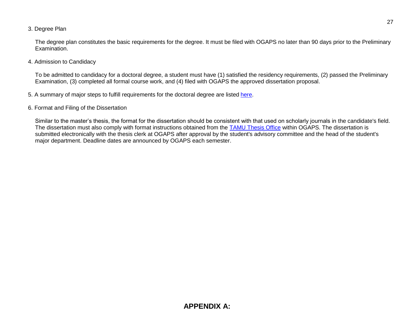3. Degree Plan

The degree plan constitutes the basic requirements for the degree. It must be filed with OGAPS no later than 90 days prior to the Preliminary Examination.

4. Admission to Candidacy

To be admitted to candidacy for a doctoral degree, a student must have (1) satisfied the residency requirements, (2) passed the Preliminary Examination, (3) completed all formal course work, and (4) filed with OGAPS the approved dissertation proposal.

- 5. A summary of major steps to fulfill requirements for the doctoral degree are listed [here.](http://ogs.tamu.edu/incoming-students/student-forms-and-information/getting-a-degree/doctoral-degree-requirements/)
- 6. Format and Filing of the Dissertation

Similar to the master's thesis, the format for the dissertation should be consistent with that used on scholarly journals in the candidate's field. The dissertation must also comply with format instructions obtained from the [TAMU Thesis Office](http://ogs.tamu.edu/current-students/thesis-dissertation/) within OGAPS. The dissertation is submitted electronically with the thesis clerk at OGAPS after approval by the student's advisory committee and the head of the student's major department. Deadline dates are announced by OGAPS each semester.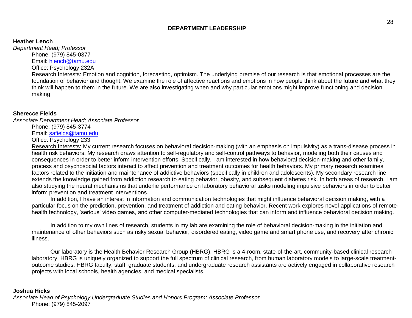## **DEPARTMENT LEADERSHIP**

#### **Heather Lench**

*Department Head; Professor*

Phone. (979) 845-0377

Email: [hlench@tamu.edu](mailto:hlench@tamu.edu)

Office: Psychology 232A

Research Interests: Emotion and cognition, forecasting, optimism. The underlying premise of our research is that emotional processes are the foundation of behavior and thought. We examine the role of affective reactions and emotions in how people think about the future and what they think will happen to them in the future. We are also investigating when and why particular emotions might improve functioning and decision making

## **Sherecce Fields**

*Associate Department Head; Associate Professor*

Phone: (979) 845-3774

Email: [safields@tamu.edu](mailto:safields@tamu.edu) 

Office: Psychology 233

Research Interests: My current research focuses on behavioral decision-making (with an emphasis on impulsivity) as a trans-disease process in health risk behaviors. My research draws attention to self-regulatory and self-control pathways to behavior, modeling both their causes and consequences in order to better inform intervention efforts. Specifically, I am interested in how behavioral decision-making and other family, process and psychosocial factors interact to affect prevention and treatment outcomes for health behaviors. My primary research examines factors related to the initiation and maintenance of addictive behaviors (specifically in children and adolescents). My secondary research line extends the knowledge gained from addiction research to eating behavior, obesity, and subsequent diabetes risk. In both areas of research, I am also studying the neural mechanisms that underlie performance on laboratory behavioral tasks modeling impulsive behaviors in order to better inform prevention and treatment interventions.

In addition, I have an interest in information and communication technologies that might influence behavioral decision making, with a particular focus on the prediction, prevention, and treatment of addiction and eating behavior. Recent work explores novel applications of remotehealth technology, 'serious' video games, and other computer-mediated technologies that can inform and influence behavioral decision making.

In addition to my own lines of research, students in my lab are examining the role of behavioral decision-making in the initiation and maintenance of other behaviors such as risky sexual behavior, disordered eating, video game and smart phone use, and recovery after chronic illness.

Our laboratory is the Health Behavior Research Group (HBRG). HBRG is a 4-room, state-of-the-art, community-based clinical research laboratory. HBRG is uniquely organized to support the full spectrum of clinical research, from human laboratory models to large-scale treatmentoutcome studies. HBRG faculty, staff, graduate students, and undergraduate research assistants are actively engaged in collaborative research projects with local schools, health agencies, and medical specialists.

#### **Joshua Hicks**

*Associate Head of Psychology Undergraduate Studies and Honors Program; Associate Professor* Phone: (979) 845-2097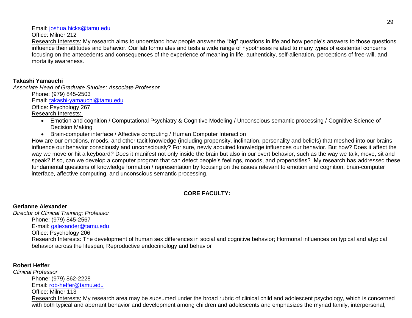Email: [joshua.hicks@tamu.edu](mailto:joshua.hicks@tamu.edu)

Office: Milner 212

Research Interests: My research aims to understand how people answer the "big" questions in life and how people's answers to those questions influence their attitudes and behavior. Our lab formulates and tests a wide range of hypotheses related to many types of existential concerns focusing on the antecedents and consequences of the experience of meaning in life, authenticity, self-alienation, perceptions of free-will, and mortality awareness.

# **Takashi Yamauchi**

*Associate Head of Graduate Studies; Associate Professor* Phone: (979) 845-2503 Email: [takashi-yamauchi@tamu.edu](mailto:takashi-yamauchi@tamu.edu) Office: Psychology 267

Research Interests:

- Emotion and cognition / Computational Psychiatry & Cognitive Modeling / Unconscious semantic processing / Cognitive Science of Decision Making
- Brain-computer interface / Affective computing / Human Computer Interaction

How are our emotions, moods, and other tacit knowledge (including propensity, inclination, personality and beliefs) that meshed into our brains influence our behavior consciously and unconsciously? For sure, newly acquired knowledge influences our behavior. But how? Does it affect the way we move or hit a keyboard? Does it manifest not only inside the brain but also in our overt behavior, such as the way we talk, move, sit and speak? If so, can we develop a computer program that can detect people's feelings, moods, and propensities? My research has addressed these fundamental questions of knowledge formation / representation by focusing on the issues relevant to emotion and cognition, brain-computer interface, affective computing, and unconscious semantic processing.

# **CORE FACULTY:**

**Gerianne Alexander** *Director of Clinical Training; Professor*  Phone: (979) 845-2567 E-mail: [galexander@tamu.edu](mailto:galexander@tamu.edu)  Office: Psychology 206 Research Interests: The development of human sex differences in social and cognitive behavior; Hormonal influences on typical and atypical behavior across the lifespan; Reproductive endocrinology and behavior

# **Robert Heffer**

*Clinical Professor* Phone: (979) 862-2228 Email: [rob-heffer@tamu.edu](mailto:rob-heffer@tamu.edu)  Office: Milner 113 Research Interests: My research area may be subsumed under the broad rubric of clinical child and adolescent psychology, which is concerned with both typical and aberrant behavior and development among children and adolescents and emphasizes the myriad family, interpersonal,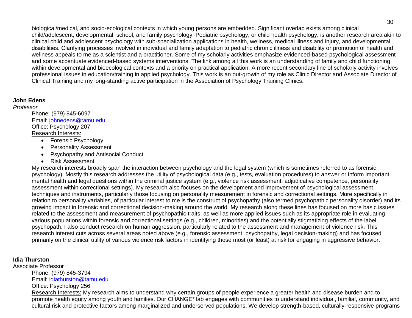biological/medical, and socio-ecological contexts in which young persons are embedded. Significant overlap exists among clinical child/adolescent, developmental, school, and family psychology. Pediatric psychology, or child health psychology, is another research area akin to clinical child and adolescent psychology with sub-specialization applications in health, wellness, medical illness and injury, and developmental disabilities. Clarifying processes involved in individual and family adaptation to pediatric chronic illness and disability or promotion of health and wellness appeals to me as a scientist and a practitioner. Some of my scholarly activities emphasize evidenced-based psychological assessment and some accentuate evidenced-based systems interventions. The link among all this work is an understanding of family and child functioning within developmental and bioecological contexts and a priority on practical application. A more recent secondary line of scholarly activity involves professional issues in education/training in applied psychology. This work is an out-growth of my role as Clinic Director and Associate Director of Clinical Training and my long-standing active participation in the Association of Psychology Training Clinics.

# **John Edens**

*Professor*  Phone: (979) 845-6097 Email: [johnedens@tamu.edu](mailto:johnedens@tamu.edu) Office: Psychology 207 Research Interests:

- Forensic Psychology
- Personality Assessment
- Psychopathy and Antisocial Conduct
- Risk Assessment

My research interests broadly span the interaction between psychology and the legal system (which is sometimes referred to as forensic psychology). Mostly this research addresses the utility of psychological data (e.g., tests, evaluation procedures) to answer or inform important mental health and legal questions within the criminal justice system (e.g., violence risk assessment, adjudicative competence, personality assessment within correctional settings). My research also focuses on the development and improvement of psychological assessment techniques and instruments, particularly those focusing on personality measurement in forensic and correctional settings. More specifically in relation to personality variables, of particular interest to me is the construct of psychopathy (also termed psychopathic personality disorder) and its growing impact in forensic and correctional decision-making around the world. My research along these lines has focused on more basic issues related to the assessment and measurement of psychopathic traits, as well as more applied issues such as its appropriate role in evaluating various populations within forensic and correctional settings (e.g., children, minorities) and the potentially stigmatizing effects of the label psychopath. I also conduct research on human aggression, particularly related to the assessment and management of violence risk. This research interest cuts across several areas noted above (e.g., forensic assessment, psychopathy, legal decision-making) and has focused primarily on the clinical utility of various violence risk factors in identifying those most (or least) at risk for engaging in aggressive behavior.

# **Idia Thurston**

Associate Professor Phone: (979) 845-3794 Email: [idiathurston@tamu.edu](mailto:idiathurston@tamu.edu) Office: Psychology 256 Research Interests: My research aims to understand why certain groups of people experience a greater health and disease burden and to promote health equity among youth and families. Our CHANGE\* lab engages with communities to understand individual, familial, community, and cultural risk and protective factors among marginalized and underserved populations. We develop strength-based, culturally-responsive programs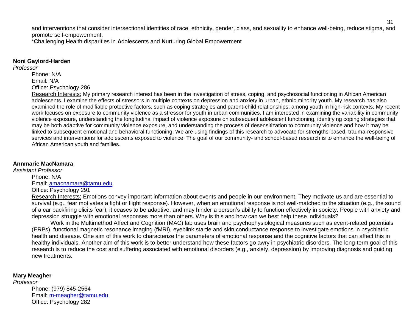and interventions that consider intersectional identities of race, ethnicity, gender, class, and sexuality to enhance well-being, reduce stigma, and promote self-empowerment.

\***C**hallenging **H**ealth disparities in **A**dolescents and **N**urturing **G**lobal **E**mpowerment

## **Noni Gaylord-Harden**

*Professor*

Phone: N/A

Email: N/A

Office: Psychology 286

Research Interests: My primary research interest has been in the investigation of stress, coping, and psychosocial functioning in African American adolescents. I examine the effects of stressors in multiple contexts on depression and anxiety in urban, ethnic minority youth. My research has also examined the role of modifiable protective factors, such as coping strategies and parent-child relationships, among youth in high-risk contexts. My recent work focuses on exposure to community violence as a stressor for youth in urban communities. I am interested in examining the variability in community violence exposure, understanding the longitudinal impact of violence exposure on subsequent adolescent functioning, identifying coping strategies that may be both adaptive for community violence exposure, and understanding the process of desensitization to community violence and how it may be linked to subsequent emotional and behavioral functioning. We are using findings of this research to advocate for strengths-based, trauma-responsive services and interventions for adolescents exposed to violence. The goal of our community- and school-based research is to enhance the well-being of African American youth and families.

# **Annmarie MacNamara**

*Assistant Professor* Phone: N/A Email: [amacnamara@tamu.edu](mailto:amacnamara@tamu.edu) Office: Psychology 291

> Research Interests: Emotions convey important information about events and people in our environment. They motivate us and are essential to survival (e.g., fear motivates a fight or flight response). However, when an emotional response is not well-matched to the situation (e.g., the sound of a car backfiring elicits fear), it ceases to be adaptive, and may hinder a person's ability to function effectively in society. People with anxiety and depression struggle with emotional responses more than others. Why is this and how can we best help these individuals?

> Work in the Multimethod Affect and Cognition (MAC) lab uses brain and psychophysiological measures such as event-related potentials (ERPs), functional magnetic resonance imaging (fMRI), eyeblink startle and skin conductance response to investigate emotions in psychiatric health and disease. One aim of this work to characterize the parameters of emotional response and the cognitive factors that can affect this in healthy individuals. Another aim of this work is to better understand how these factors go awry in psychiatric disorders. The long-term goal of this research is to reduce the cost and suffering associated with emotional disorders (e.g., anxiety, depression) by improving diagnosis and guiding new treatments.

# **Mary Meagher**

*Professor* Phone: (979) 845-2564 Email: [m-meagher@tamu.edu](mailto:m-meagher@tamu.edu) Office: Psychology 282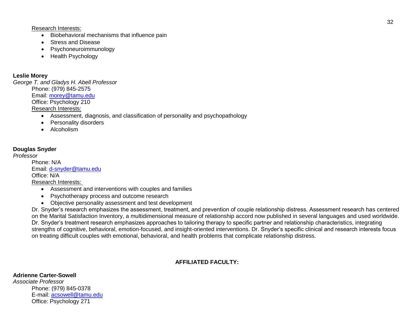Research Interests:

- Biobehavioral mechanisms that influence pain
- Stress and Disease
- Psychoneuroimmunology
- Health Psychology

# **Leslie Morey**

*George T. and Gladys H. Abell Professor* Phone: (979) 845-2575 Email: [morey@tamu.edu](mailto:morey@tamu.edu) Office: Psychology 210 Research Interests:

- Assessment, diagnosis, and classification of personality and psychopathology
- Personality disorders
- Alcoholism

# **Douglas Snyder**

*Professor*

Phone: N/A Email: [d-snyder@tamu.edu](mailto:d-snyder@tamu.edu) Office: N/A Research Interests:

- Assessment and interventions with couples and families
- Psychotherapy process and outcome research
- Objective personality assessment and test development

Dr. Snyder's research emphasizes the assessment, treatment, and prevention of couple relationship distress. Assessment research has centered on the Marital Satisfaction Inventory, a multidimensional measure of relationship accord now published in several languages and used worldwide. Dr. Snyder's treatment research emphasizes approaches to tailoring therapy to specific partner and relationship characteristics, integrating strengths of cognitive, behavioral, emotion-focused, and insight-oriented interventions. Dr. Snyder's specific clinical and research interests focus on treating difficult couples with emotional, behavioral, and health problems that complicate relationship distress.

# **AFFILIATED FACULTY:**

# **Adrienne Carter-Sowell**

*Associate Professor* Phone: (979) 845-0378 E-mail: [acsowell@tamu.edu](mailto:acsowell@tamu.edu) Office: Psychology 271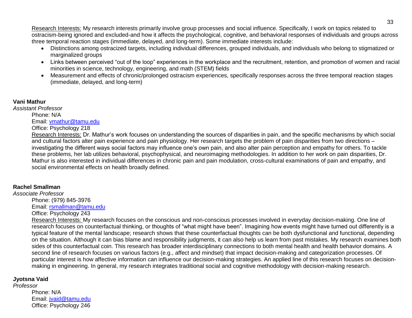Research Interests: My research interests primarily involve group processes and social influence. Specifically, I work on topics related to ostracism-being ignored and excluded-and how it affects the psychological, cognitive, and behavioral responses of individuals and groups across three temporal reaction stages (immediate, delayed, and long-term). Some immediate interests include:

- Distinctions among ostracized targets, including individual differences, grouped individuals, and individuals who belong to stigmatized or marginalized groups
- Links between perceived "out of the loop" experiences in the workplace and the recruitment, retention, and promotion of women and racial minorities in science, technology, engineering, and math (STEM) fields
- Measurement and effects of chronic/prolonged ostracism experiences, specifically responses across the three temporal reaction stages (immediate, delayed, and long-term)

# **Vani Mathur**

*Assistant Professor* Phone: N/A Email: [vmathur@tamu.edu](mailto:vmathur@tamu.edu) Office: Psychology 218

> Research Interests: Dr. Mathur's work focuses on understanding the sources of disparities in pain, and the specific mechanisms by which social and cultural factors alter pain experience and pain physiology. Her research targets the problem of pain disparities from two directions – investigating the different ways social factors may influence one's own pain, and also alter pain perception and empathy for others. To tackle these problems, her lab utilizes behavioral, psychophysical, and neuroimaging methodologies. In addition to her work on pain disparities, Dr. Mathur is also interested in individual differences in chronic pain and pain modulation, cross-cultural examinations of pain and empathy, and social environmental effects on health broadly defined.

# **Rachel Smallman**

*Associate Professor*

Phone: (979) 845-3976 Email: [rsmallman@tamu.edu](mailto:rsmallman@tamu.edu)

Office: Psychology 243

Research Interests: My research focuses on the conscious and non-conscious processes involved in everyday decision-making. One line of research focuses on counterfactual thinking, or thoughts of "what might have been". Imagining how events might have turned out differently is a typical feature of the mental landscape; research shows that these counterfactual thoughts can be both dysfunctional and functional, depending on the situation. Although it can bias blame and responsibility judgments, it can also help us learn from past mistakes. My research examines both sides of this counterfactual coin. This research has broader interdisciplinary connections to both mental health and health behavior domains. A second line of research focuses on various factors (e.g., affect and mindset) that impact decision-making and categorization processes. Of particular interest is how affective information can influence our decision-making strategies. An applied line of this research focuses on decisionmaking in engineering. In general, my research integrates traditional social and cognitive methodology with decision-making research.

# **Jyotsna Vaid**

*Professor* Phone: N/A Email: [jvaid@tamu.edu](mailto:jvaid@tamu.edu) Office: Psychology 246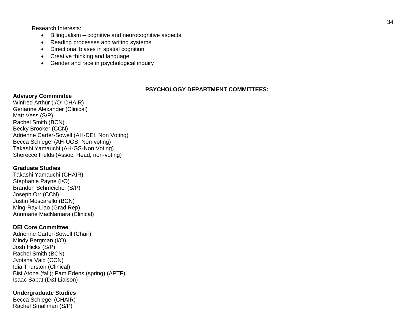Research Interests:

- Bilingualism cognitive and neurocognitive aspects
- Reading processes and writing systems
- Directional biases in spatial cognition
- Creative thinking and language
- Gender and race in psychological inquiry

# **PSYCHOLOGY DEPARTMENT COMMITTEES :**

# **Advisory Commmitee**

Winfred Arthur (I/O; CHAIR ) Gerianne Alexander (Clinical) Matt Vess (S/P) Rachel Smith (BCN) Becky Brooker (CCN) Adrienne Carter -Sowell (AH -DEI, Non Voting) Becca Schlegel (AH -UGS, Non -voting) Takashi Yamauchi (AH -GS -Non Voting) Sherecce Fields (Assoc. Head, non -voting)

# **Graduate Studies**

Takashi Yamauchi (CHAIR) Stephanie Payne (I/O) Brandon Schmeichel (S/P) Joseph Orr (CCN) Justin Moscarello (BCN) Ming -Ray Liao (Grad Rep) Annmarie MacNamara (Clinical)

# **DEI Core Committee**

Adrienne Carter -Sowell (Chair) Mindy Bergman (I/O) Josh Hicks (S/P) Rachel Smith (BCN) Jyotsna Vaid (CCN) Idia Thurston (Clinical) Bisi Atoba (fall); Pam Edens (spring) (APTF) Isaac Sabat (D&I Liaison)

# **Undergraduate Studies**

Becca Schlegel (CHAIR) Rachel Smallman (S/P)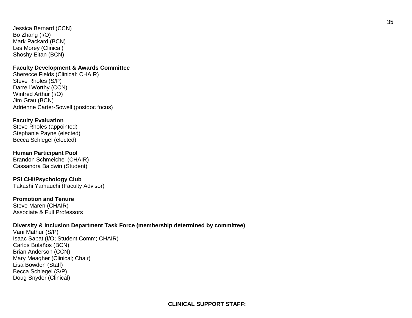Jessica Bernard (CCN) Bo Zhang (I/O) Mark Packard (BCN) Les Morey (Clinical) Shoshy Eitan (BCN)

## **Faculty Development & Awards Committee**

Sherecce Fields (Clinical; CHAIR) Steve Rholes (S/P) Darrell Worthy (CCN) Winfred Arthur (I/O) Jim Grau (BCN) Adrienne Carter -Sowell (postdoc focus)

# **Faculty Evaluation**

Steve Rholes (appointed) Stephanie Payne (elected) Becca Schlegel (elected)

## **Human Participant Pool**

Brandon Schmeichel (CHAIR) Cassandra Baldwin (Student)

**PSI CHI/Psychology Club** Takashi Yamauchi (Faculty Advisor)

# **Promotion and Tenure**

Steve Maren (CHAIR) Associate & Full Professors

## **Diversity & Inclusion Department Task Force (membership determined by committee)**

Vani Mathur (S/P) Isaac Sabat (I/O; Student Comm; CHAIR) Carlos Bolaños (BCN) Brian Anderson (CCN) Mary Meagher (Clinical; Chair) Lisa Bowden (Staff) Becca Schlegel (S/P) Doug Snyder (Clinical)

35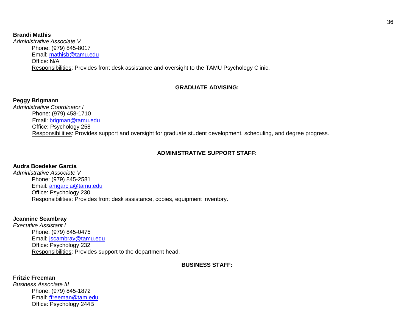## **Brandi Mathis**

*Administrative Associate V* Phone: (979) 845-8017 Email: [mathisb@tamu.edu](mailto:mathisb@tamu.edu) Office: N/A Responsibilities: Provides front desk assistance and oversight to the TAMU Psychology Clinic.

# **GRADUATE ADVISING:**

# **Peggy Brigmann**

*Administrative Coordinator I* Phone: (979) 458-1710 Email: [brigman@tamu.edu](mailto:brigman@tamu.edu) Office: Psychology 258 Responsibilities: Provides support and oversight for graduate student development, scheduling, and degree progress.

# **ADMINISTRATIVE SUPPORT STAFF:**

# **Audra Boedeker Garcia**

*Administrative Associate V* Phone: (979) 845-2581 Email: [amgarcia@tamu.edu](mailto:amgarcia@tamu.edu) Office: Psychology 230 Responsibilities: Provides front desk assistance, copies, equipment inventory.

# **Jeannine Scambray**

*Executive Assistant I* Phone: (979) 845-0475 Email: [jscambray@tamu.edu](mailto:jscambray@tamu.edu) Office: Psychology 232 Responsibilities: Provides support to the department head.

**BUSINESS STAFF:**

# **Fritzie Freeman**

*Business Associate III* Phone: (979) 845-1872 Email: [ffreeman@tam.edu](mailto:ffreeman@tam.edu) Office: Psychology 244B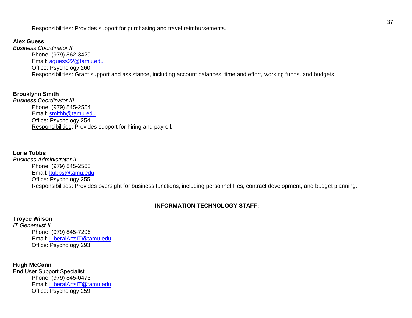Responsibilities: Provides support for purchasing and travel reimbursements.

# **Alex Guess**

*Business Coordinator II* Phone: (979) 862-3429 Email: [aguess22@tamu.edu](mailto:aguess22@tamu.edu) Office: Psychology 260 Responsibilities: Grant support and assistance, including account balances, time and effort, working funds, and budgets.

# **Brooklynn Smith**

*Business Coordinator III* Phone: (979) 845-2554 Email: [smithb@tamu.edu](mailto:smithb@tamu.edu) Office: Psychology 254 Responsibilities: Provides support for hiring and payroll.

# **Lorie Tubbs**

*Business Administrator II* Phone: (979) 845-2563 Email: [ltubbs@tamu.edu](mailto:ltubbs@tamu.edu) Office: Psychology 255 Responsibilities: Provides oversight for business functions, including personnel files, contract development, and budget planning.

# **INFORMATION TECHNOLOGY STAFF:**

# **Troyce Wilson**

*IT Generalist II* Phone: (979) 845-7296 Email: [LiberalArtsIT@tamu.edu](mailto:LiberalArtsIT@tamu.edu) Office: Psychology 293

## **Hugh McCann**

End User Support Specialist I Phone: (979) 845-0473 Email: [LiberalArtsIT@tamu.edu](mailto:LiberalArtsIT@tamu.edu) Office: Psychology 259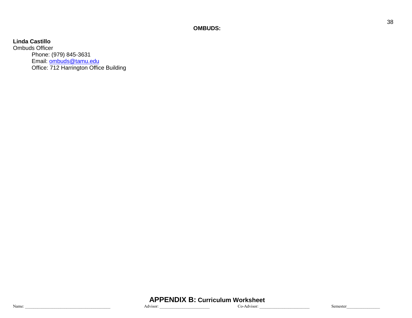**OMBUDS:**

# **Linda Castillo**

Ombuds Officer Phone: (979) 845-3631 Email: **ombuds@tamu.edu** Office: 712 Harrington Office Building

**APPENDIX B: Curriculum Worksheet**<br>dvisor: Co-Advisor: Name:  $\blacksquare$  Advisor:  $\blacksquare$  Co-Advisor:  $\blacksquare$  Co-Advisor:  $\blacksquare$  Semester 38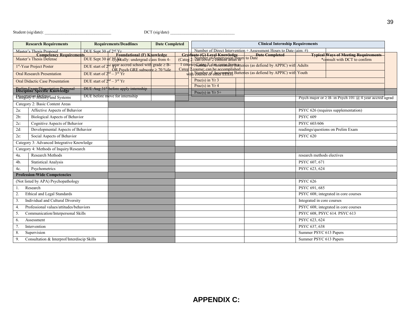|        | <b>Research Requirements</b>                                                    |                                   | <b>Requirements/Deadlines</b>                                        | <b>Date Completed</b> |       | <b>Clinical Internship Requirements</b>                                                                                                                                                |                                                                   |                            |                                                                        |  |  |
|--------|---------------------------------------------------------------------------------|-----------------------------------|----------------------------------------------------------------------|-----------------------|-------|----------------------------------------------------------------------------------------------------------------------------------------------------------------------------------------|-------------------------------------------------------------------|----------------------------|------------------------------------------------------------------------|--|--|
|        | Master's Thesis Proposal                                                        | DUE Sept 30 of $2nd$ Yr           |                                                                      |                       |       |                                                                                                                                                                                        | Number of Direct Intervention + Assessment Hours to Date (aim: #) |                            |                                                                        |  |  |
|        | <b>Connetency Requirements</b>                                                  |                                   | Foundational (F) Knowledge                                           |                       |       |                                                                                                                                                                                        |                                                                   |                            | <b>Typical Ways of Meeting Requirements</b>                            |  |  |
|        | Master's Thesis Defense                                                         |                                   | DUE Sept 30 of 3rd Ytylically: undergrad class from 4-               |                       | (Cate | Graduate (G) Level Knowledge Date Completed                                                                                                                                            |                                                                   |                            | *consult with DCT to confirm                                           |  |  |
|        | 1 <sup>st</sup> -Year Project Poster                                            |                                   | DUE start of 2 <sup>nd</sup> Year accred school with grade $\geq$ B- |                       |       | 1 course Number of MS Session Finite and Section of APPIC) with Adults<br>Categ 2 course; can be accomplished<br>with Poundes of Ansemingty Batteries (as defiend by APPIC) with Youth |                                                                   |                            |                                                                        |  |  |
|        | <b>Oral Research Presentation</b>                                               |                                   | DUE start of $2^{nd} - 3^{rd}$ Yr                                    |                       |       |                                                                                                                                                                                        |                                                                   |                            |                                                                        |  |  |
|        | <b>Oral Didactic Case Presentation</b>                                          | DUE start of $2^{nd} - 3^{rd}$ Yr |                                                                      |                       |       | Prac(s) in $Yr$ 3                                                                                                                                                                      |                                                                   |                            |                                                                        |  |  |
|        | <b>Prelim Exam/Dissertation Proposa</b><br><b>Discipline Specific Knowledge</b> |                                   | DUE Aug 31st before apply internship                                 |                       |       | Prac(s) in $Yr$ 4                                                                                                                                                                      |                                                                   |                            |                                                                        |  |  |
|        | Paragration Preferve and Systems                                                |                                   | DUE before move for internship                                       |                       |       | Prac(s) in $Yr$ 5+                                                                                                                                                                     |                                                                   |                            | Psych major or $\geq$ B- in Psych 101 ( $\alpha$ ) 4 year accred ugrad |  |  |
|        | Category 2: Basic Content Areas                                                 |                                   |                                                                      |                       |       |                                                                                                                                                                                        |                                                                   |                            |                                                                        |  |  |
| $2a$ : | Affective Aspects of Behavior                                                   |                                   |                                                                      |                       |       |                                                                                                                                                                                        |                                                                   |                            | PSYC 626 (requires supplementation)                                    |  |  |
| 2b:    | Biological Aspects of Behavior                                                  |                                   |                                                                      |                       |       |                                                                                                                                                                                        |                                                                   | <b>PSYC 609</b>            |                                                                        |  |  |
| $2c$ : | Cognitive Aspects of Behavior                                                   |                                   |                                                                      |                       |       |                                                                                                                                                                                        |                                                                   | PSYC 603/606               |                                                                        |  |  |
| $2d$ : | Developmental Aspects of Behavior                                               |                                   |                                                                      |                       |       |                                                                                                                                                                                        |                                                                   |                            | readings/questions on Prelim Exam                                      |  |  |
| $2e$ : | Social Aspects of Behavior                                                      |                                   |                                                                      |                       |       |                                                                                                                                                                                        |                                                                   | <b>PSYC 620</b>            |                                                                        |  |  |
|        | Category 3: Advanced Integrative Knowledge                                      |                                   |                                                                      |                       |       |                                                                                                                                                                                        |                                                                   |                            |                                                                        |  |  |
|        | Category 4: Methods of Inquiry/Research                                         |                                   |                                                                      |                       |       |                                                                                                                                                                                        |                                                                   |                            |                                                                        |  |  |
| 4a.    | <b>Research Methods</b>                                                         |                                   |                                                                      |                       |       |                                                                                                                                                                                        |                                                                   | research methods electives |                                                                        |  |  |
| 4b.    | <b>Statistical Analysis</b>                                                     |                                   |                                                                      |                       |       |                                                                                                                                                                                        |                                                                   | PSYC 607, 671              |                                                                        |  |  |
| 4c.    | Psychometrics                                                                   |                                   |                                                                      |                       |       |                                                                                                                                                                                        |                                                                   | PSYC 623, 624              |                                                                        |  |  |
|        | <b>Profession-Wide Competencies</b>                                             |                                   |                                                                      |                       |       |                                                                                                                                                                                        |                                                                   |                            |                                                                        |  |  |
|        | (Not listed by APA) Psychopathology                                             |                                   |                                                                      |                       |       |                                                                                                                                                                                        |                                                                   | <b>PSYC 626</b>            |                                                                        |  |  |
| 1.     | Research                                                                        |                                   |                                                                      |                       |       |                                                                                                                                                                                        |                                                                   | PSYC 691, 685              |                                                                        |  |  |
|        | Ethical and Legal Standards                                                     |                                   |                                                                      |                       |       |                                                                                                                                                                                        |                                                                   |                            | PSYC 608; integrated in core courses                                   |  |  |
| 3.     | Individual and Cultural Diversity                                               |                                   |                                                                      |                       |       |                                                                                                                                                                                        |                                                                   | Integrated in core courses |                                                                        |  |  |
| 4.     | Professional values/attitudes/behaviors                                         |                                   |                                                                      |                       |       |                                                                                                                                                                                        |                                                                   |                            | PSYC 608; integrated in core courses                                   |  |  |
| 5.     | Communication/Interpersonal Skills                                              |                                   |                                                                      |                       |       |                                                                                                                                                                                        |                                                                   |                            | PSYC 608, PSYC 614. PSYC 613                                           |  |  |
| 6.     | Assessment                                                                      |                                   |                                                                      |                       |       |                                                                                                                                                                                        |                                                                   | PSYC 623, 624              |                                                                        |  |  |
|        | Intervention                                                                    |                                   |                                                                      |                       |       |                                                                                                                                                                                        |                                                                   | PSYC 637, 638              |                                                                        |  |  |
| 8.     | Supervision                                                                     |                                   |                                                                      |                       |       |                                                                                                                                                                                        |                                                                   | Summer PSYC 613 Papers     |                                                                        |  |  |
| 9.     | Consultation & Interprof/Interdiscip Skills                                     |                                   |                                                                      |                       |       |                                                                                                                                                                                        |                                                                   | Summer PSYC 613 Papers     |                                                                        |  |  |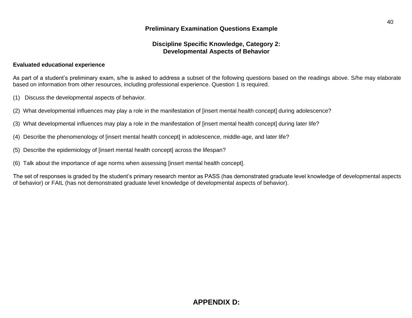# **Discipline Specific Knowledge, Category 2: Developmental Aspects of Behavior**

### **Evaluated educational experience**

As part of a student's preliminary exam, s/he is asked to address a subset of the following questions based on the readings above. S/he may elaborate based on information from other resources, including professional experience. Question 1 is required.

- (1) Discuss the developmental aspects of behavior.
- (2) What developmental influences may play a role in the manifestation of [insert mental health concept] during adolescence?
- (3) What developmental influences may play a role in the manifestation of [insert mental health concept] during later life?
- (4) Describe the phenomenology of [insert mental health concept] in adolescence, middle-age, and later life?
- (5) Describe the epidemiology of [insert mental health concept] across the lifespan?
- (6) Talk about the importance of age norms when assessing [insert mental health concept].

The set of responses is graded by the student's primary research mentor as PASS (has demonstrated graduate level knowledge of developmental aspects of behavior) or FAIL (has not demonstrated graduate level knowledge of developmental aspects of behavior).